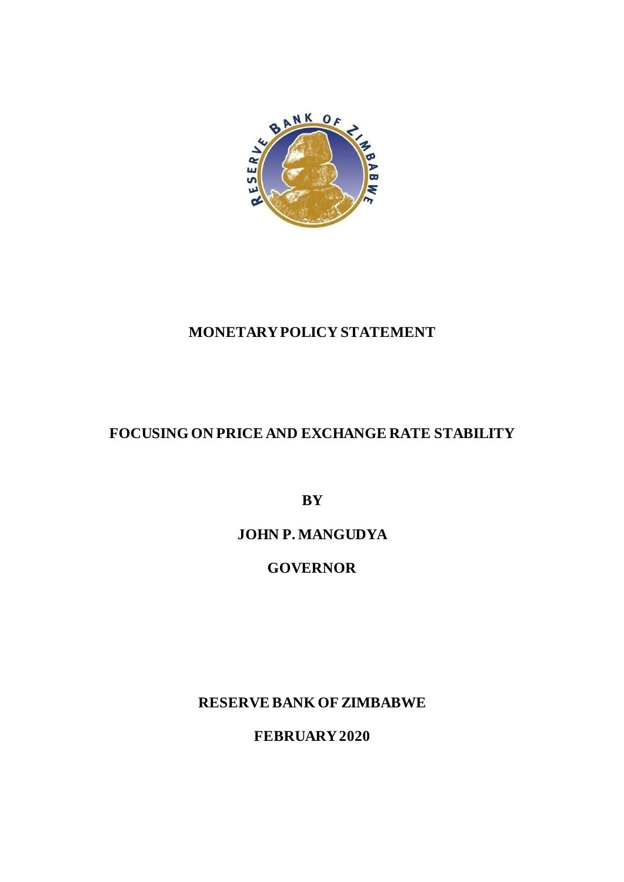

## **MONETARY POLICY STATEMENT**

## **FOCUSING ON PRICE AND EXCHANGE RATE STABILITY**

**BY**

## **JOHN P. MANGUDYA**

## **GOVERNOR**

**RESERVE BANK OF ZIMBABWE**

**FEBRUARY2020**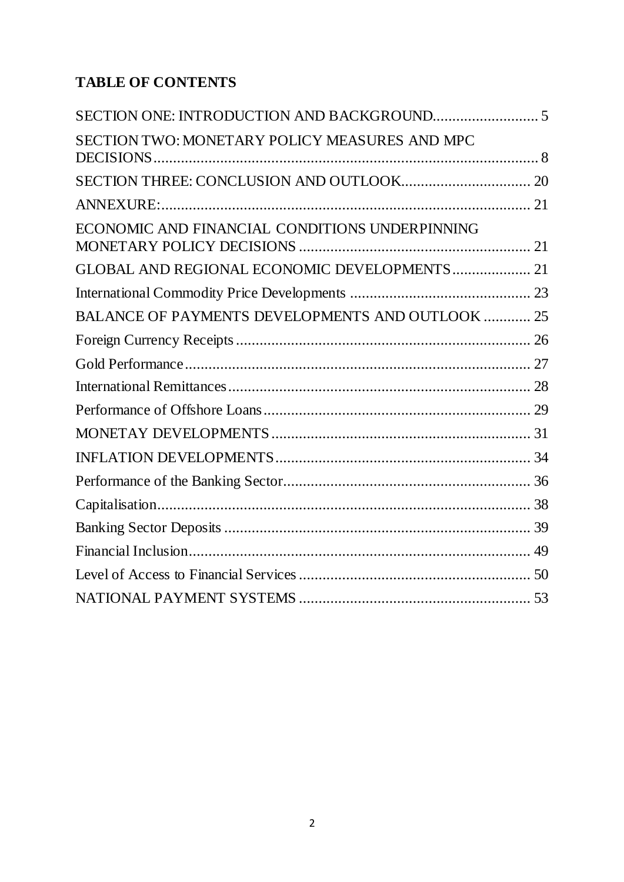# **TABLE OF CONTENTS**

| SECTION TWO: MONETARY POLICY MEASURES AND MPC           |  |
|---------------------------------------------------------|--|
|                                                         |  |
|                                                         |  |
| ECONOMIC AND FINANCIAL CONDITIONS UNDERPINNING          |  |
| GLOBAL AND REGIONAL ECONOMIC DEVELOPMENTS 21            |  |
|                                                         |  |
| <b>BALANCE OF PAYMENTS DEVELOPMENTS AND OUTLOOK  25</b> |  |
|                                                         |  |
|                                                         |  |
|                                                         |  |
|                                                         |  |
|                                                         |  |
|                                                         |  |
|                                                         |  |
|                                                         |  |
|                                                         |  |
|                                                         |  |
|                                                         |  |
|                                                         |  |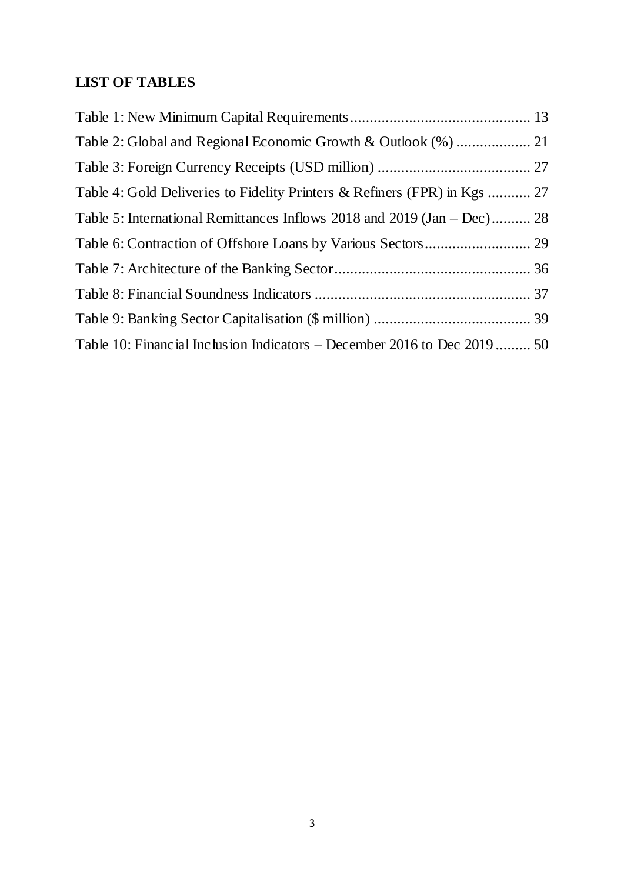## **LIST OF TABLES**

| Table 4: Gold Deliveries to Fidelity Printers & Refiners (FPR) in Kgs  27 |  |
|---------------------------------------------------------------------------|--|
| Table 5: International Remittances Inflows 2018 and 2019 (Jan – Dec) 28   |  |
|                                                                           |  |
|                                                                           |  |
|                                                                           |  |
|                                                                           |  |
| Table 10: Financial Inclusion Indicators – December 2016 to Dec 2019 50   |  |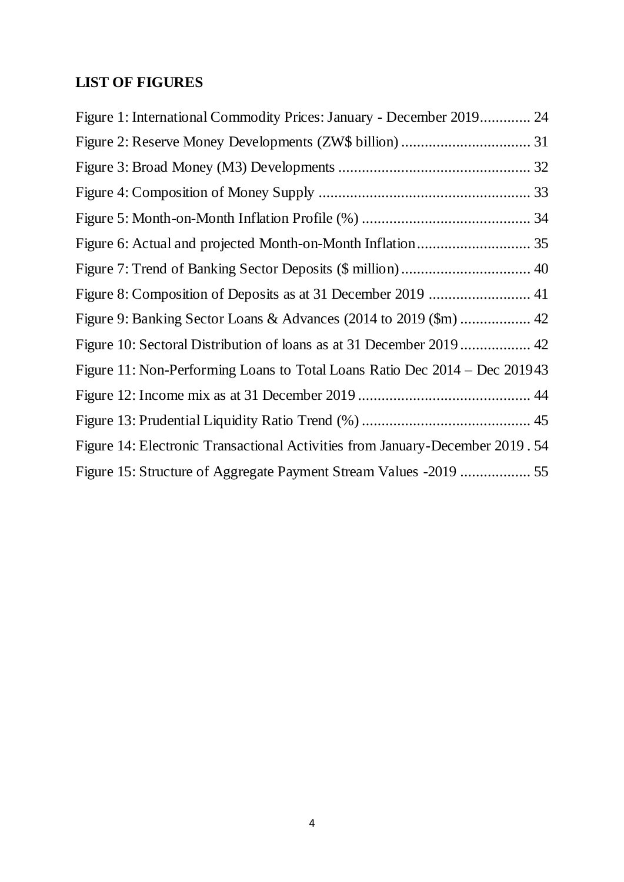## **LIST OF FIGURES**

| Figure 1: International Commodity Prices: January - December 2019 24          |
|-------------------------------------------------------------------------------|
|                                                                               |
|                                                                               |
|                                                                               |
|                                                                               |
|                                                                               |
|                                                                               |
|                                                                               |
|                                                                               |
|                                                                               |
| Figure 11: Non-Performing Loans to Total Loans Ratio Dec 2014 – Dec 201943    |
|                                                                               |
|                                                                               |
| Figure 14: Electronic Transactional Activities from January-December 2019. 54 |
|                                                                               |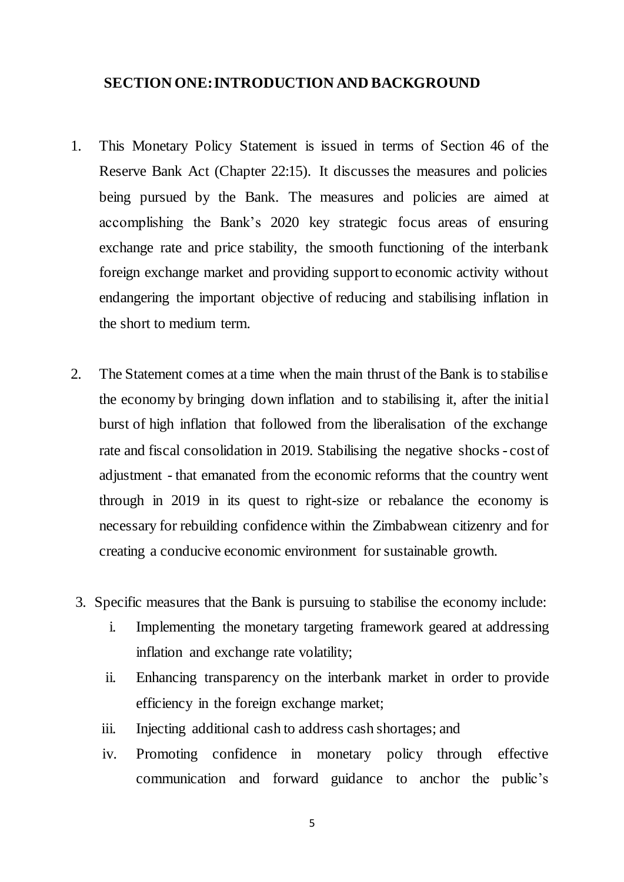#### <span id="page-4-0"></span>**SECTION ONE: INTRODUCTION AND BACKGROUND**

- 1. This Monetary Policy Statement is issued in terms of Section 46 of the Reserve Bank Act (Chapter 22:15). It discusses the measures and policies being pursued by the Bank. The measures and policies are aimed at accomplishing the Bank's 2020 key strategic focus areas of ensuring exchange rate and price stability, the smooth functioning of the interbank foreign exchange market and providing support to economic activity without endangering the important objective of reducing and stabilising inflation in the short to medium term.
- 2. The Statement comes at a time when the main thrust of the Bank is to stabilise the economy by bringing down inflation and to stabilising it, after the initial burst of high inflation that followed from the liberalisation of the exchange rate and fiscal consolidation in 2019. Stabilising the negative shocks - cost of adjustment - that emanated from the economic reforms that the country went through in 2019 in its quest to right-size or rebalance the economy is necessary for rebuilding confidence within the Zimbabwean citizenry and for creating a conducive economic environment for sustainable growth.
- 3. Specific measures that the Bank is pursuing to stabilise the economy include:
	- i. Implementing the monetary targeting framework geared at addressing inflation and exchange rate volatility;
	- ii. Enhancing transparency on the interbank market in order to provide efficiency in the foreign exchange market;
	- iii. Injecting additional cash to address cash shortages; and
	- iv. Promoting confidence in monetary policy through effective communication and forward guidance to anchor the public's

5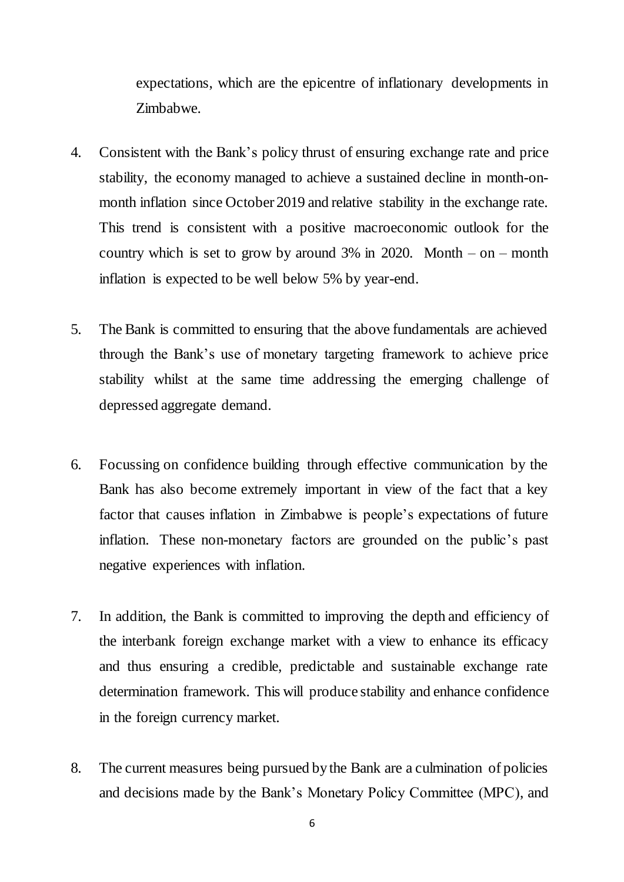expectations, which are the epicentre of inflationary developments in Zimbabwe.

- 4. Consistent with the Bank's policy thrust of ensuring exchange rate and price stability, the economy managed to achieve a sustained decline in month-onmonth inflation since October 2019 and relative stability in the exchange rate. This trend is consistent with a positive macroeconomic outlook for the country which is set to grow by around  $3\%$  in 2020. Month – on – month inflation is expected to be well below 5% by year-end.
- 5. The Bank is committed to ensuring that the above fundamentals are achieved through the Bank's use of monetary targeting framework to achieve price stability whilst at the same time addressing the emerging challenge of depressed aggregate demand.
- 6. Focussing on confidence building through effective communication by the Bank has also become extremely important in view of the fact that a key factor that causes inflation in Zimbabwe is people's expectations of future inflation. These non-monetary factors are grounded on the public's past negative experiences with inflation.
- 7. In addition, the Bank is committed to improving the depth and efficiency of the interbank foreign exchange market with a view to enhance its efficacy and thus ensuring a credible, predictable and sustainable exchange rate determination framework. This will produce stability and enhance confidence in the foreign currency market.
- 8. The current measures being pursued by the Bank are a culmination of policies and decisions made by the Bank's Monetary Policy Committee (MPC), and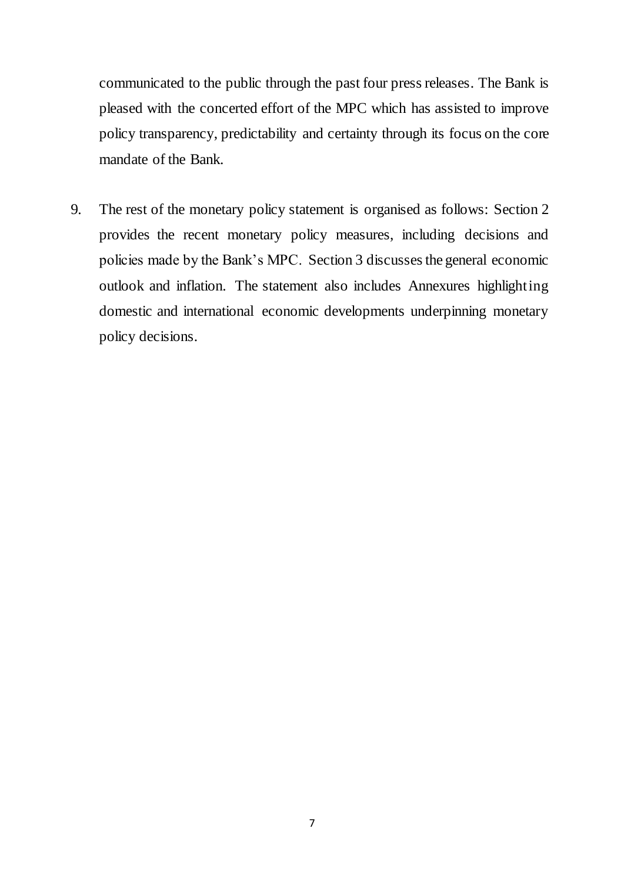communicated to the public through the past four press releases. The Bank is pleased with the concerted effort of the MPC which has assisted to improve policy transparency, predictability and certainty through its focus on the core mandate of the Bank.

9. The rest of the monetary policy statement is organised as follows: Section 2 provides the recent monetary policy measures, including decisions and policies made by the Bank's MPC. Section 3 discusses the general economic outlook and inflation. The statement also includes Annexures highlighting domestic and international economic developments underpinning monetary policy decisions.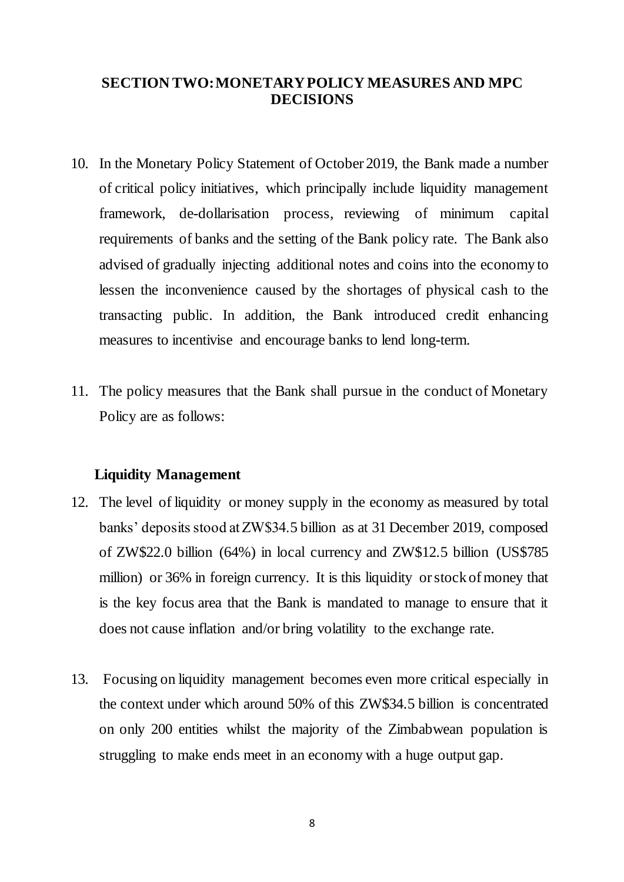## <span id="page-7-0"></span>**SECTION TWO: MONETARY POLICY MEASURES AND MPC DECISIONS**

- 10. In the Monetary Policy Statement of October 2019, the Bank made a number of critical policy initiatives, which principally include liquidity management framework, de-dollarisation process, reviewing of minimum capital requirements of banks and the setting of the Bank policy rate. The Bank also advised of gradually injecting additional notes and coins into the economy to lessen the inconvenience caused by the shortages of physical cash to the transacting public. In addition, the Bank introduced credit enhancing measures to incentivise and encourage banks to lend long-term.
- 11. The policy measures that the Bank shall pursue in the conduct of Monetary Policy are as follows:

#### **Liquidity Management**

- 12. The level of liquidity or money supply in the economy as measured by total banks' deposits stood at ZW\$34.5 billion as at 31 December 2019, composed of ZW\$22.0 billion (64%) in local currency and ZW\$12.5 billion (US\$785 million) or 36% in foreign currency. It is this liquidity or stock of money that is the key focus area that the Bank is mandated to manage to ensure that it does not cause inflation and/or bring volatility to the exchange rate.
- 13. Focusing on liquidity management becomes even more critical especially in the context under which around 50% of this ZW\$34.5 billion is concentrated on only 200 entities whilst the majority of the Zimbabwean population is struggling to make ends meet in an economy with a huge output gap.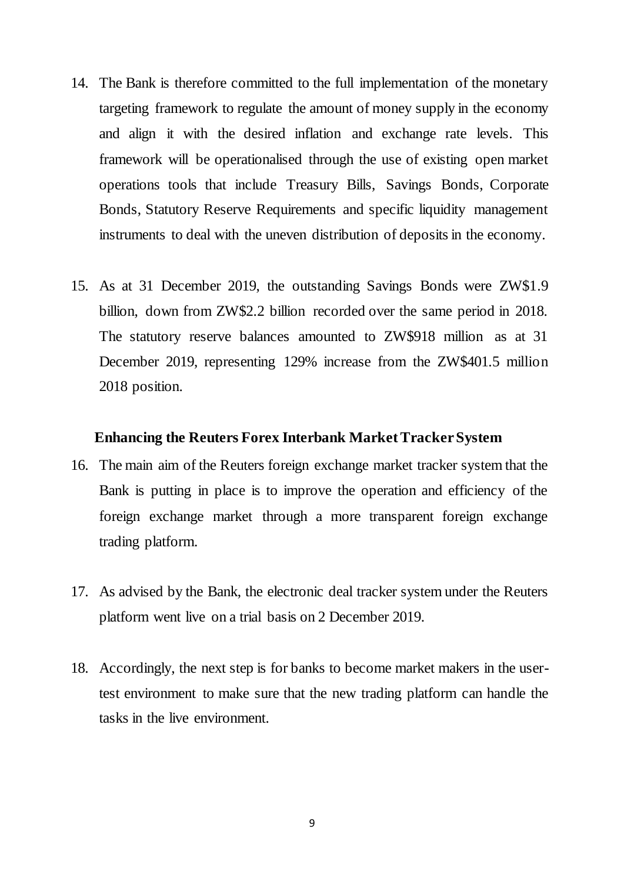- 14. The Bank is therefore committed to the full implementation of the monetary targeting framework to regulate the amount of money supply in the economy and align it with the desired inflation and exchange rate levels. This framework will be operationalised through the use of existing open market operations tools that include Treasury Bills, Savings Bonds, Corporate Bonds, Statutory Reserve Requirements and specific liquidity management instruments to deal with the uneven distribution of deposits in the economy.
- 15. As at 31 December 2019, the outstanding Savings Bonds were ZW\$1.9 billion, down from ZW\$2.2 billion recorded over the same period in 2018. The statutory reserve balances amounted to ZW\$918 million as at 31 December 2019, representing 129% increase from the ZW\$401.5 million 2018 position.

#### **Enhancing the Reuters Forex Interbank Market Tracker System**

- 16. The main aim of the Reuters foreign exchange market tracker system that the Bank is putting in place is to improve the operation and efficiency of the foreign exchange market through a more transparent foreign exchange trading platform.
- 17. As advised by the Bank, the electronic deal tracker system under the Reuters platform went live on a trial basis on 2 December 2019.
- 18. Accordingly, the next step is for banks to become market makers in the usertest environment to make sure that the new trading platform can handle the tasks in the live environment.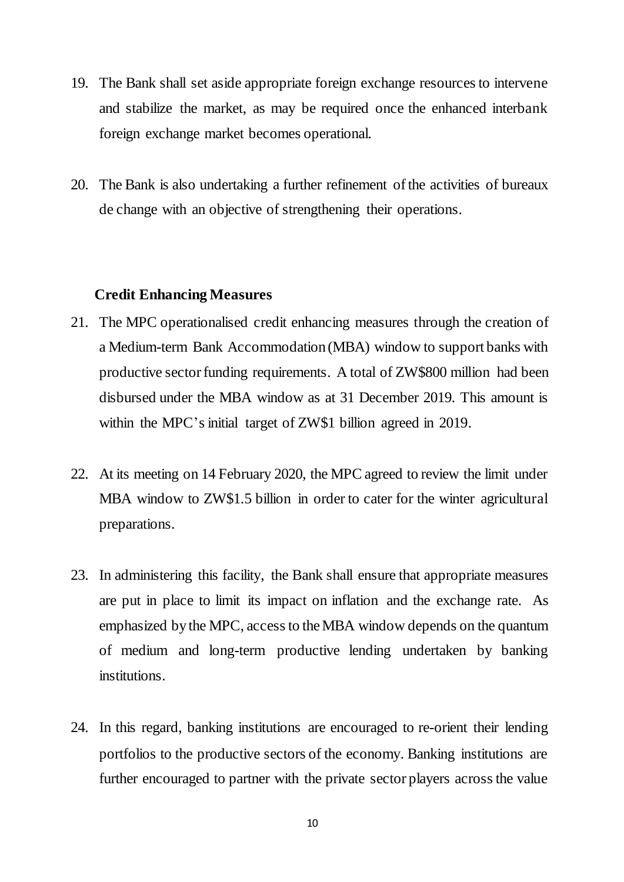- 19. The Bank shall set aside appropriate foreign exchange resources to intervene and stabilize the market, as may be required once the enhanced interbank foreign exchange market becomes operational.
- 20. The Bank is also undertaking a further refinement of the activities of bureaux de change with an objective of strengthening their operations.

#### **Credit Enhancing Measures**

- 21. The MPC operationalised credit enhancing measures through the creation of a Medium-term Bank Accommodation (MBA) window to support banks with productive sector funding requirements. A total of ZW\$800 million had been disbursed under the MBA window as at 31 December 2019. This amount is within the MPC's initial target of ZW\$1 billion agreed in 2019.
- 22. At its meeting on 14 February 2020, the MPC agreed to review the limit under MBA window to ZW\$1.5 billion in order to cater for the winter agricultural preparations.
- 23. In administering this facility, the Bank shall ensure that appropriate measures are put in place to limit its impact on inflation and the exchange rate. As emphasized by the MPC, access to the MBA window depends on the quantum of medium and long-term productive lending undertaken by banking institutions.
- 24. In this regard, banking institutions are encouraged to re-orient their lending portfolios to the productive sectors of the economy. Banking institutions are further encouraged to partner with the private sector players across the value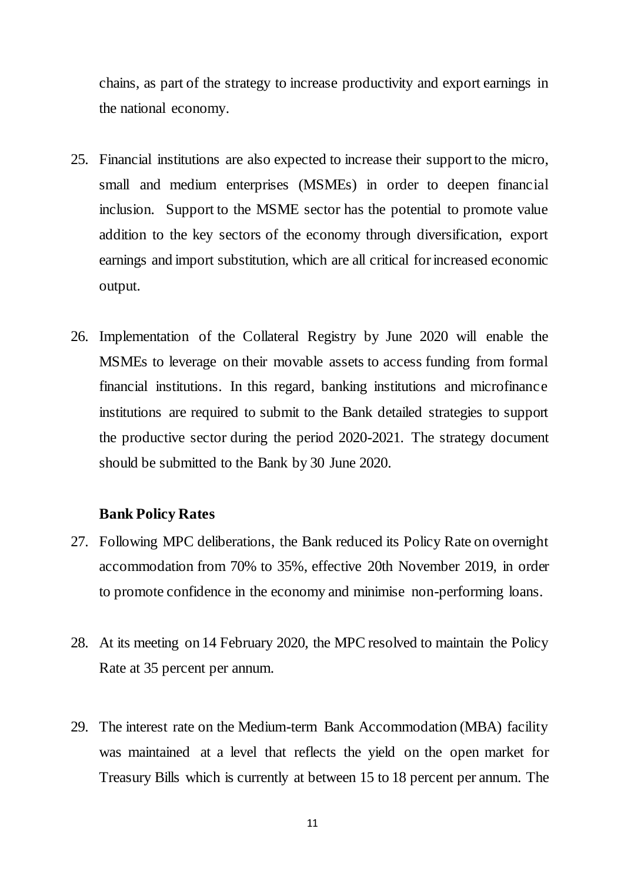chains, as part of the strategy to increase productivity and export earnings in the national economy.

- 25. Financial institutions are also expected to increase their support to the micro, small and medium enterprises (MSMEs) in order to deepen financial inclusion. Support to the MSME sector has the potential to promote value addition to the key sectors of the economy through diversification, export earnings and import substitution, which are all critical for increased economic output.
- 26. Implementation of the Collateral Registry by June 2020 will enable the MSMEs to leverage on their movable assets to access funding from formal financial institutions. In this regard, banking institutions and microfinance institutions are required to submit to the Bank detailed strategies to support the productive sector during the period 2020-2021. The strategy document should be submitted to the Bank by 30 June 2020.

#### **Bank Policy Rates**

- 27. Following MPC deliberations, the Bank reduced its Policy Rate on overnight accommodation from 70% to 35%, effective 20th November 2019, in order to promote confidence in the economy and minimise non-performing loans.
- 28. At its meeting on 14 February 2020, the MPC resolved to maintain the Policy Rate at 35 percent per annum.
- 29. The interest rate on the Medium-term Bank Accommodation (MBA) facility was maintained at a level that reflects the yield on the open market for Treasury Bills which is currently at between 15 to 18 percent per annum. The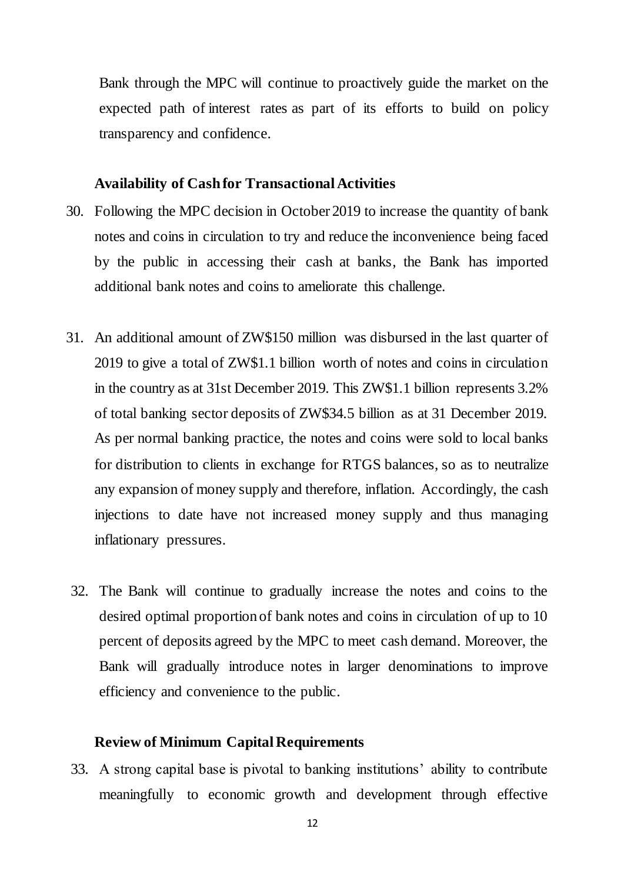Bank through the MPC will continue to proactively guide the market on the expected path of interest rates as part of its efforts to build on policy transparency and confidence.

#### **Availability of Cash for Transactional Activities**

- 30. Following the MPC decision in October 2019 to increase the quantity of bank notes and coins in circulation to try and reduce the inconvenience being faced by the public in accessing their cash at banks, the Bank has imported additional bank notes and coins to ameliorate this challenge.
- 31. An additional amount of ZW\$150 million was disbursed in the last quarter of 2019 to give a total of ZW\$1.1 billion worth of notes and coins in circulation in the country as at 31st December 2019. This ZW\$1.1 billion represents 3.2% of total banking sector deposits of ZW\$34.5 billion as at 31 December 2019. As per normal banking practice, the notes and coins were sold to local banks for distribution to clients in exchange for RTGS balances, so as to neutralize any expansion of money supply and therefore, inflation. Accordingly, the cash injections to date have not increased money supply and thus managing inflationary pressures.
- 32. The Bank will continue to gradually increase the notes and coins to the desired optimal proportion of bank notes and coins in circulation of up to 10 percent of deposits agreed by the MPC to meet cash demand. Moreover, the Bank will gradually introduce notes in larger denominations to improve efficiency and convenience to the public.

#### **Review of Minimum Capital Requirements**

33. A strong capital base is pivotal to banking institutions' ability to contribute meaningfully to economic growth and development through effective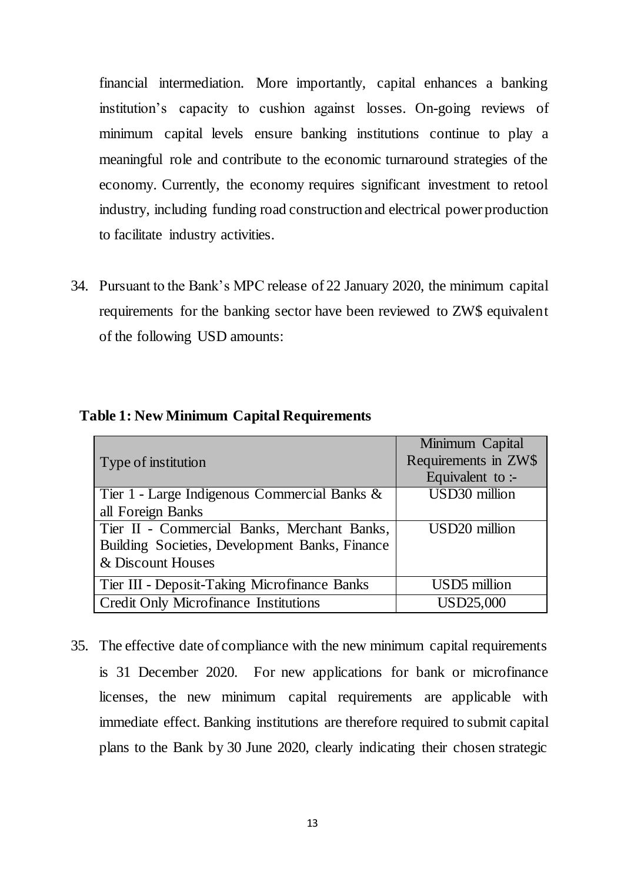financial intermediation. More importantly, capital enhances a banking institution's capacity to cushion against losses. On-going reviews of minimum capital levels ensure banking institutions continue to play a meaningful role and contribute to the economic turnaround strategies of the economy. Currently, the economy requires significant investment to retool industry, including funding road construction and electrical power production to facilitate industry activities.

34. Pursuant to the Bank's MPC release of 22 January 2020, the minimum capital requirements for the banking sector have been reviewed to ZW\$ equivalent of the following USD amounts:

<span id="page-12-0"></span>

| <b>Table 1: New Minimum Capital Requirements</b> |  |  |
|--------------------------------------------------|--|--|
|--------------------------------------------------|--|--|

|                                                | Minimum Capital          |
|------------------------------------------------|--------------------------|
| Type of institution                            | Requirements in ZW\$     |
|                                                | Equivalent to :-         |
| Tier 1 - Large Indigenous Commercial Banks &   | USD30 million            |
| all Foreign Banks                              |                          |
| Tier II - Commercial Banks, Merchant Banks,    | USD20 million            |
| Building Societies, Development Banks, Finance |                          |
| & Discount Houses                              |                          |
| Tier III - Deposit-Taking Microfinance Banks   | USD <sub>5</sub> million |
| <b>Credit Only Microfinance Institutions</b>   | <b>USD25,000</b>         |

35. The effective date of compliance with the new minimum capital requirements is 31 December 2020. For new applications for bank or microfinance licenses, the new minimum capital requirements are applicable with immediate effect. Banking institutions are therefore required to submit capital plans to the Bank by 30 June 2020, clearly indicating their chosen strategic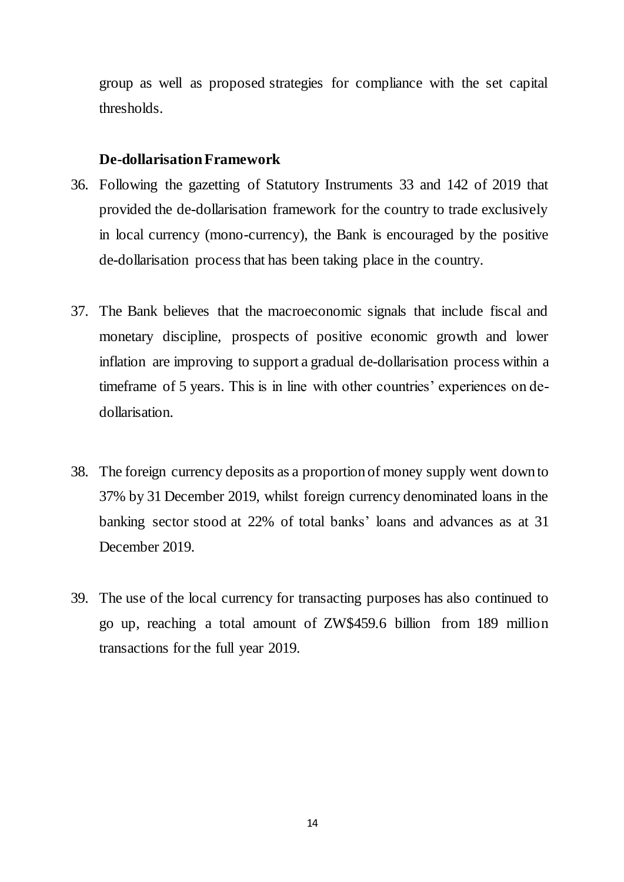group as well as proposed strategies for compliance with the set capital thresholds.

#### **De-dollarisationFramework**

- 36. Following the gazetting of Statutory Instruments 33 and 142 of 2019 that provided the de-dollarisation framework for the country to trade exclusively in local currency (mono-currency), the Bank is encouraged by the positive de-dollarisation process that has been taking place in the country.
- 37. The Bank believes that the macroeconomic signals that include fiscal and monetary discipline, prospects of positive economic growth and lower inflation are improving to support a gradual de-dollarisation process within a timeframe of 5 years. This is in line with other countries' experiences on dedollarisation.
- 38. The foreign currency deposits as a proportion of money supply went down to 37% by 31 December 2019, whilst foreign currency denominated loans in the banking sector stood at 22% of total banks' loans and advances as at 31 December 2019.
- 39. The use of the local currency for transacting purposes has also continued to go up, reaching a total amount of ZW\$459.6 billion from 189 million transactions for the full year 2019.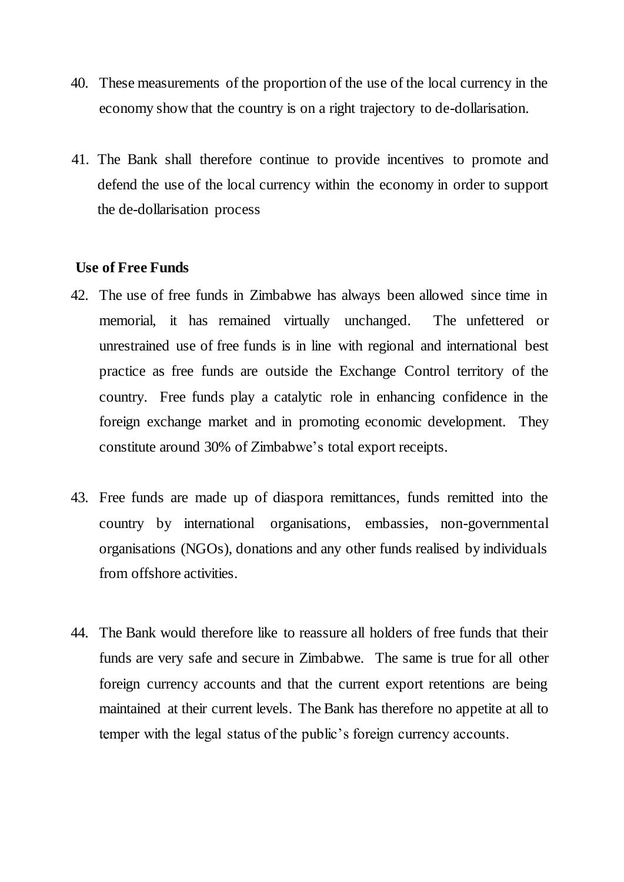- 40. These measurements of the proportion of the use of the local currency in the economy show that the country is on a right trajectory to de-dollarisation.
- 41. The Bank shall therefore continue to provide incentives to promote and defend the use of the local currency within the economy in order to support the de-dollarisation process

#### **Use of Free Funds**

- 42. The use of free funds in Zimbabwe has always been allowed since time in memorial, it has remained virtually unchanged. The unfettered or unrestrained use of free funds is in line with regional and international best practice as free funds are outside the Exchange Control territory of the country. Free funds play a catalytic role in enhancing confidence in the foreign exchange market and in promoting economic development. They constitute around 30% of Zimbabwe's total export receipts.
- 43. Free funds are made up of diaspora remittances, funds remitted into the country by international organisations, embassies, non-governmental organisations (NGOs), donations and any other funds realised by individuals from offshore activities.
- 44. The Bank would therefore like to reassure all holders of free funds that their funds are very safe and secure in Zimbabwe. The same is true for all other foreign currency accounts and that the current export retentions are being maintained at their current levels. The Bank has therefore no appetite at all to temper with the legal status of the public's foreign currency accounts.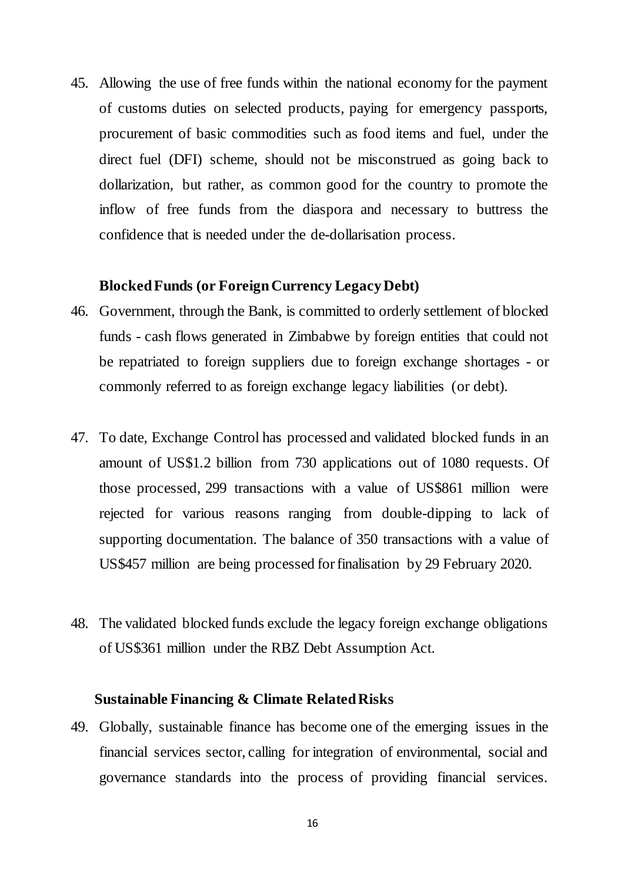45. Allowing the use of free funds within the national economy for the payment of customs duties on selected products, paying for emergency passports, procurement of basic commodities such as food items and fuel, under the direct fuel (DFI) scheme, should not be misconstrued as going back to dollarization, but rather, as common good for the country to promote the inflow of free funds from the diaspora and necessary to buttress the confidence that is needed under the de-dollarisation process.

#### **Blocked Funds (or Foreign Currency Legacy Debt)**

- 46. Government, through the Bank, is committed to orderly settlement of blocked funds - cash flows generated in Zimbabwe by foreign entities that could not be repatriated to foreign suppliers due to foreign exchange shortages - or commonly referred to as foreign exchange legacy liabilities (or debt).
- 47. To date, Exchange Control has processed and validated blocked funds in an amount of US\$1.2 billion from 730 applications out of 1080 requests. Of those processed, 299 transactions with a value of US\$861 million were rejected for various reasons ranging from double-dipping to lack of supporting documentation. The balance of 350 transactions with a value of US\$457 million are being processed for finalisation by 29 February 2020.
- 48. The validated blocked funds exclude the legacy foreign exchange obligations of US\$361 million under the RBZ Debt Assumption Act.

#### **Sustainable Financing & Climate Related Risks**

49. Globally, sustainable finance has become one of the emerging issues in the financial services sector, calling for integration of environmental, social and governance standards into the process of providing financial services.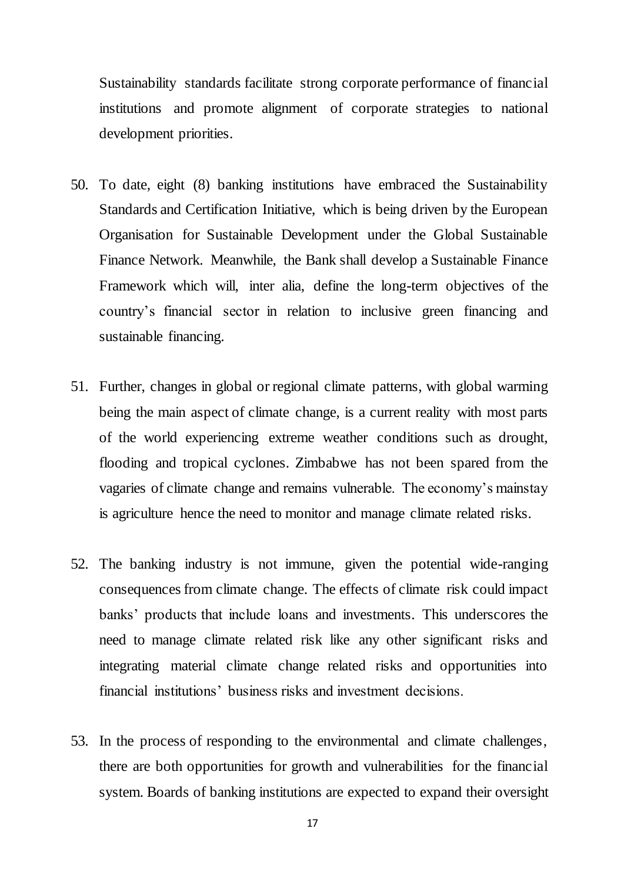Sustainability standards facilitate strong corporate performance of financial institutions and promote alignment of corporate strategies to national development priorities.

- 50. To date, eight (8) banking institutions have embraced the Sustainability Standards and Certification Initiative, which is being driven by the European Organisation for Sustainable Development under the Global Sustainable Finance Network. Meanwhile, the Bank shall develop a Sustainable Finance Framework which will, inter alia, define the long-term objectives of the country's financial sector in relation to inclusive green financing and sustainable financing.
- 51. Further, changes in global or regional climate patterns, with global warming being the main aspect of climate change, is a current reality with most parts of the world experiencing extreme weather conditions such as drought, flooding and tropical cyclones. Zimbabwe has not been spared from the vagaries of climate change and remains vulnerable. The economy's mainstay is agriculture hence the need to monitor and manage climate related risks.
- 52. The banking industry is not immune, given the potential wide-ranging consequences from climate change. The effects of climate risk could impact banks' products that include loans and investments. This underscores the need to manage climate related risk like any other significant risks and integrating material climate change related risks and opportunities into financial institutions' business risks and investment decisions.
- 53. In the process of responding to the environmental and climate challenges, there are both opportunities for growth and vulnerabilities for the financial system. Boards of banking institutions are expected to expand their oversight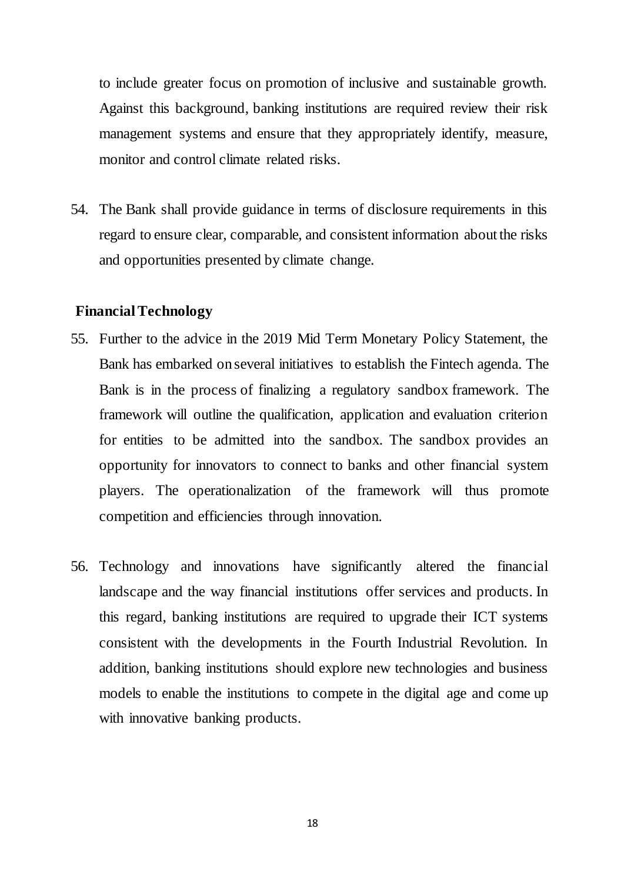to include greater focus on promotion of inclusive and sustainable growth. Against this background, banking institutions are required review their risk management systems and ensure that they appropriately identify, measure, monitor and control climate related risks.

54. The Bank shall provide guidance in terms of disclosure requirements in this regard to ensure clear, comparable, and consistent information about the risks and opportunities presented by climate change.

#### **Financial Technology**

- 55. Further to the advice in the 2019 Mid Term Monetary Policy Statement, the Bank has embarked on several initiatives to establish the Fintech agenda. The Bank is in the process of finalizing a regulatory sandbox framework. The framework will outline the qualification, application and evaluation criterion for entities to be admitted into the sandbox. The sandbox provides an opportunity for innovators to connect to banks and other financial system players. The operationalization of the framework will thus promote competition and efficiencies through innovation.
- 56. Technology and innovations have significantly altered the financial landscape and the way financial institutions offer services and products. In this regard, banking institutions are required to upgrade their ICT systems consistent with the developments in the Fourth Industrial Revolution. In addition, banking institutions should explore new technologies and business models to enable the institutions to compete in the digital age and come up with innovative banking products.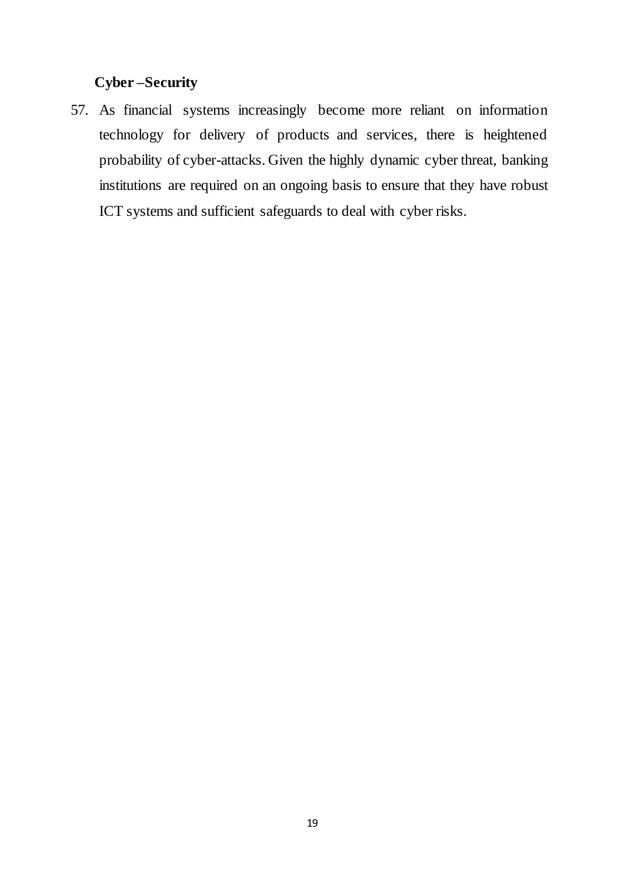## **Cyber –Security**

57. As financial systems increasingly become more reliant on information technology for delivery of products and services, there is heightened probability of cyber-attacks. Given the highly dynamic cyber threat, banking institutions are required on an ongoing basis to ensure that they have robust ICT systems and sufficient safeguards to deal with cyber risks.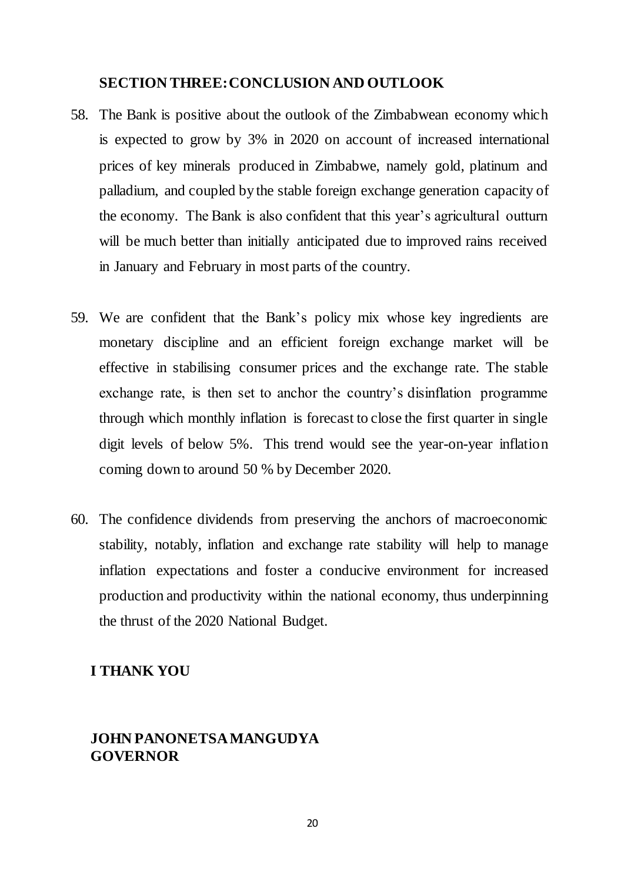## <span id="page-19-0"></span>**SECTION THREE: CONCLUSION AND OUTLOOK**

- 58. The Bank is positive about the outlook of the Zimbabwean economy which is expected to grow by 3% in 2020 on account of increased international prices of key minerals produced in Zimbabwe, namely gold, platinum and palladium, and coupled by the stable foreign exchange generation capacity of the economy. The Bank is also confident that this year's agricultural outturn will be much better than initially anticipated due to improved rains received in January and February in most parts of the country.
- 59. We are confident that the Bank's policy mix whose key ingredients are monetary discipline and an efficient foreign exchange market will be effective in stabilising consumer prices and the exchange rate. The stable exchange rate, is then set to anchor the country's disinflation programme through which monthly inflation is forecast to close the first quarter in single digit levels of below 5%. This trend would see the year-on-year inflation coming down to around 50 % by December 2020.
- 60. The confidence dividends from preserving the anchors of macroeconomic stability, notably, inflation and exchange rate stability will help to manage inflation expectations and foster a conducive environment for increased production and productivity within the national economy, thus underpinning the thrust of the 2020 National Budget.

## **I THANK YOU**

## <span id="page-19-1"></span> **JOHN PANONETSA MANGUDYA GOVERNOR**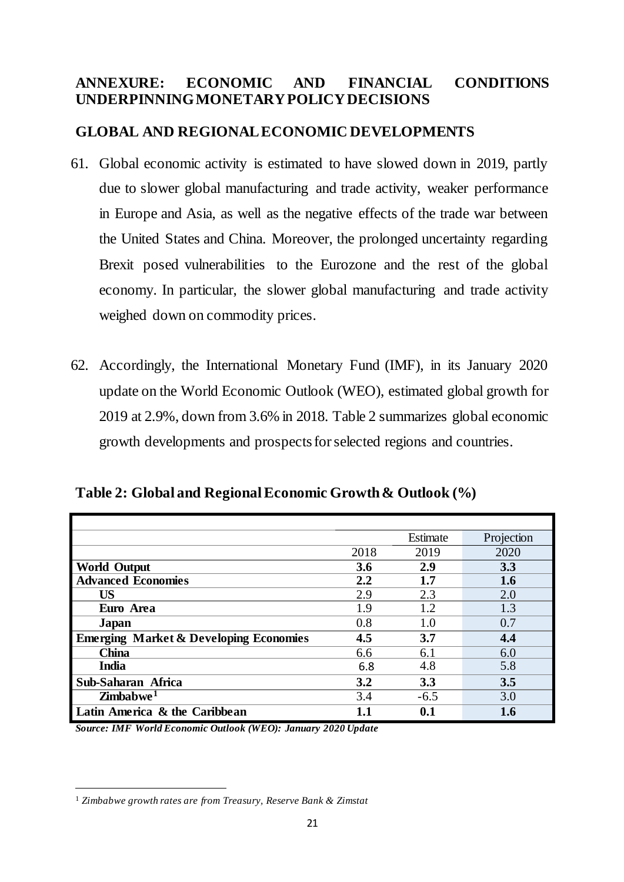## <span id="page-20-0"></span>**ANNEXURE: ECONOMIC AND FINANCIAL CONDITIONS UNDERPINNING MONETARY POLICY DECISIONS**

## <span id="page-20-1"></span>**GLOBAL AND REGIONAL ECONOMIC DEVELOPMENTS**

- 61. Global economic activity is estimated to have slowed down in 2019, partly due to slower global manufacturing and trade activity, weaker performance in Europe and Asia, as well as the negative effects of the trade war between the United States and China. Moreover, the prolonged uncertainty regarding Brexit posed vulnerabilities to the Eurozone and the rest of the global economy. In particular, the slower global manufacturing and trade activity weighed down on commodity prices.
- 62. Accordingly, the International Monetary Fund (IMF), in its January 2020 update on the World Economic Outlook (WEO), estimated global growth for 2019 at 2.9%, down from 3.6% in 2018. Table 2 summarizes global economic growth developments and prospects for selected regions and countries.

<span id="page-20-2"></span>**Table 2: Global and Regional Economic Growth & Outlook (%)**

|                                                   |         | Estimate | Projection |
|---------------------------------------------------|---------|----------|------------|
|                                                   | 2018    | 2019     | 2020       |
| <b>World Output</b>                               | 3.6     | 2.9      | 3.3        |
| <b>Advanced Economies</b>                         | $2.2\,$ | 1.7      | 1.6        |
| <b>US</b>                                         | 2.9     | 2.3      | 2.0        |
| Euro Area                                         | 1.9     | 1.2      | 1.3        |
| Japan                                             | 0.8     | 1.0      | 0.7        |
| <b>Emerging Market &amp; Developing Economies</b> | 4.5     | 3.7      | 4.4        |
| <b>China</b>                                      | 6.6     | 6.1      | 6.0        |
| <b>India</b>                                      | 6.8     | 4.8      | 5.8        |
| Sub-Saharan Africa                                | 3.2     | 3.3      | 3.5        |
| $\mathbf{Z}$ imbabwe <sup>1</sup>                 | 3.4     | $-6.5$   | 3.0        |
| Latin America & the Caribbean                     | 1.1     | 0.1      | 1.6        |

*Source: IMF World Economic Outlook (WEO): January 2020 Update*

 $\overline{a}$ 

<sup>1</sup> *Zimbabwe growth rates are from Treasury, Reserve Bank & Zimstat*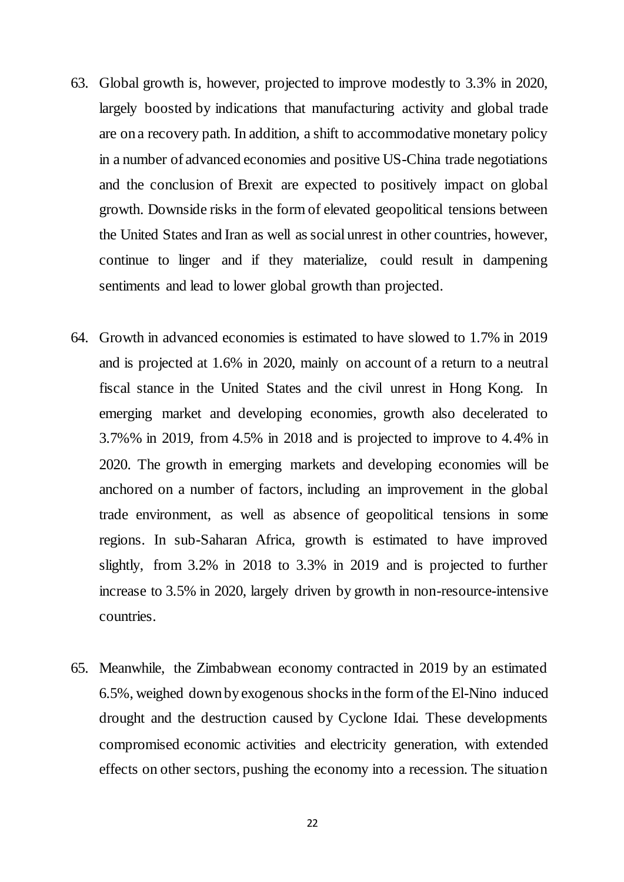- 63. Global growth is, however, projected to improve modestly to 3.3% in 2020, largely boosted by indications that manufacturing activity and global trade are on a recovery path. In addition, a shift to accommodative monetary policy in a number of advanced economies and positive US-China trade negotiations and the conclusion of Brexit are expected to positively impact on global growth. Downside risks in the form of elevated geopolitical tensions between the United States and Iran as well as social unrest in other countries, however, continue to linger and if they materialize, could result in dampening sentiments and lead to lower global growth than projected.
- 64. Growth in advanced economies is estimated to have slowed to 1.7% in 2019 and is projected at 1.6% in 2020, mainly on account of a return to a neutral fiscal stance in the United States and the civil unrest in Hong Kong. In emerging market and developing economies, growth also decelerated to 3.7%% in 2019, from 4.5% in 2018 and is projected to improve to 4.4% in 2020. The growth in emerging markets and developing economies will be anchored on a number of factors, including an improvement in the global trade environment, as well as absence of geopolitical tensions in some regions. In sub-Saharan Africa, growth is estimated to have improved slightly, from 3.2% in 2018 to 3.3% in 2019 and is projected to further increase to 3.5% in 2020, largely driven by growth in non-resource-intensive countries.
- 65. Meanwhile, the Zimbabwean economy contracted in 2019 by an estimated 6.5%, weighed down by exogenous shocks in the form of the El-Nino induced drought and the destruction caused by Cyclone Idai. These developments compromised economic activities and electricity generation, with extended effects on other sectors, pushing the economy into a recession. The situation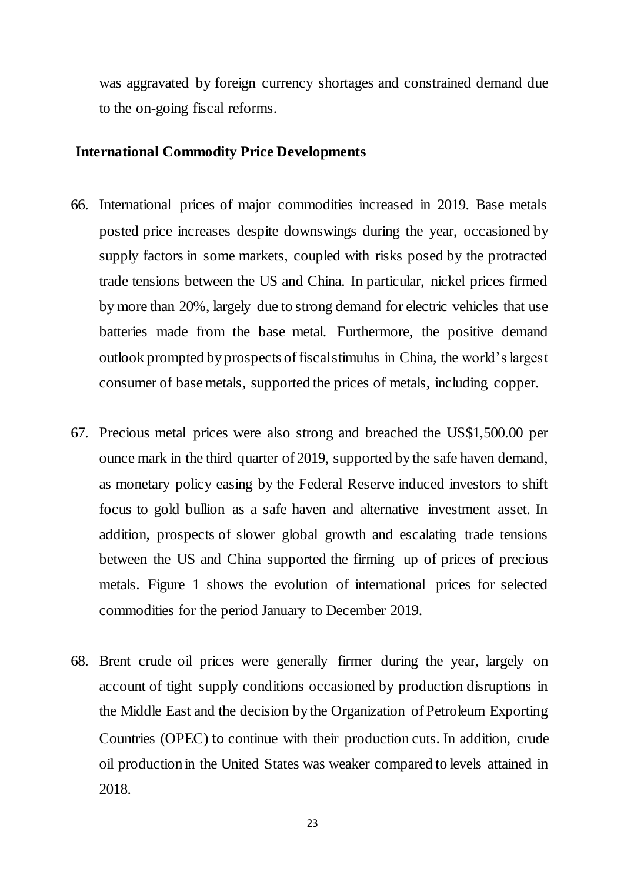was aggravated by foreign currency shortages and constrained demand due to the on-going fiscal reforms.

#### <span id="page-22-0"></span>**International Commodity Price Developments**

- 66. International prices of major commodities increased in 2019. Base metals posted price increases despite downswings during the year, occasioned by supply factors in some markets, coupled with risks posed by the protracted trade tensions between the US and China. In particular, nickel prices firmed by more than 20%, largely due to strong demand for electric vehicles that use batteries made from the base metal. Furthermore, the positive demand outlook prompted by prospects of fiscal stimulus in China, the world's largest consumer of base metals, supported the prices of metals, including copper.
- 67. Precious metal prices were also strong and breached the US\$1,500.00 per ounce mark in the third quarter of 2019, supported by the safe haven demand, as monetary policy easing by the Federal Reserve induced investors to shift focus to gold bullion as a safe haven and alternative investment asset. In addition, prospects of slower global growth and escalating trade tensions between the US and China supported the firming up of prices of precious metals. Figure 1 shows the evolution of international prices for selected commodities for the period January to December 2019.
- 68. Brent crude oil prices were generally firmer during the year, largely on account of tight supply conditions occasioned by production disruptions in the Middle East and the decision by the Organization of Petroleum Exporting Countries (OPEC) to continue with their production cuts. In addition, crude oil production in the United States was weaker compared to levels attained in 2018.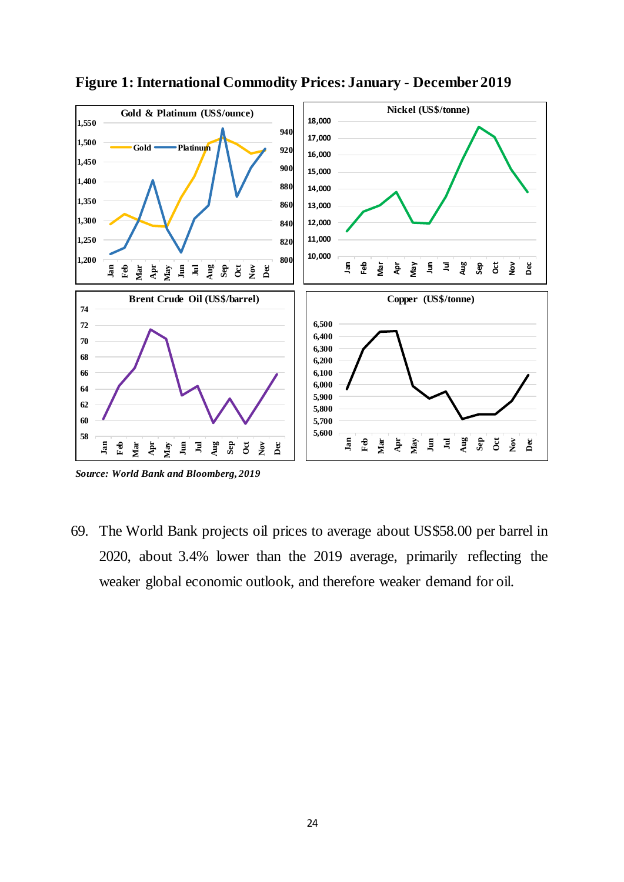

<span id="page-23-0"></span>**Figure 1: International Commodity Prices: January - December 2019**

69. The World Bank projects oil prices to average about US\$58.00 per barrel in 2020, about 3.4% lower than the 2019 average, primarily reflecting the weaker global economic outlook, and therefore weaker demand for oil.

*Source: World Bank and Bloomberg, 2019*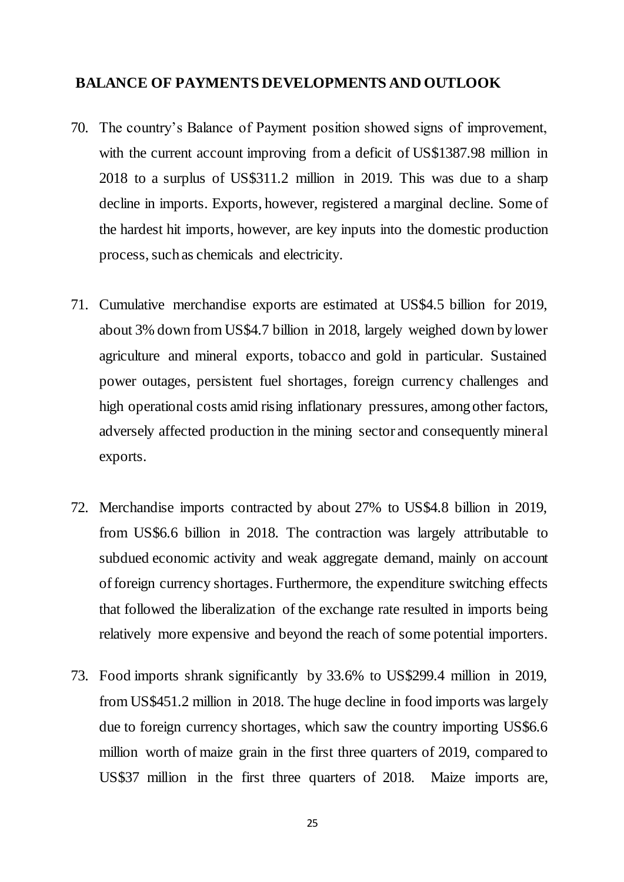#### <span id="page-24-0"></span>**BALANCE OF PAYMENTS DEVELOPMENTS AND OUTLOOK**

- 70. The country's Balance of Payment position showed signs of improvement, with the current account improving from a deficit of US\$1387.98 million in 2018 to a surplus of US\$311.2 million in 2019. This was due to a sharp decline in imports. Exports, however, registered a marginal decline. Some of the hardest hit imports, however, are key inputs into the domestic production process, such as chemicals and electricity.
- 71. Cumulative merchandise exports are estimated at US\$4.5 billion for 2019, about 3% down from US\$4.7 billion in 2018, largely weighed down by lower agriculture and mineral exports, tobacco and gold in particular. Sustained power outages, persistent fuel shortages, foreign currency challenges and high operational costs amid rising inflationary pressures, among other factors, adversely affected production in the mining sector and consequently mineral exports.
- 72. Merchandise imports contracted by about 27% to US\$4.8 billion in 2019, from US\$6.6 billion in 2018. The contraction was largely attributable to subdued economic activity and weak aggregate demand, mainly on account of foreign currency shortages. Furthermore, the expenditure switching effects that followed the liberalization of the exchange rate resulted in imports being relatively more expensive and beyond the reach of some potential importers.
- 73. Food imports shrank significantly by 33.6% to US\$299.4 million in 2019, from US\$451.2 million in 2018. The huge decline in food imports was largely due to foreign currency shortages, which saw the country importing US\$6.6 million worth of maize grain in the first three quarters of 2019, compared to US\$37 million in the first three quarters of 2018. Maize imports are,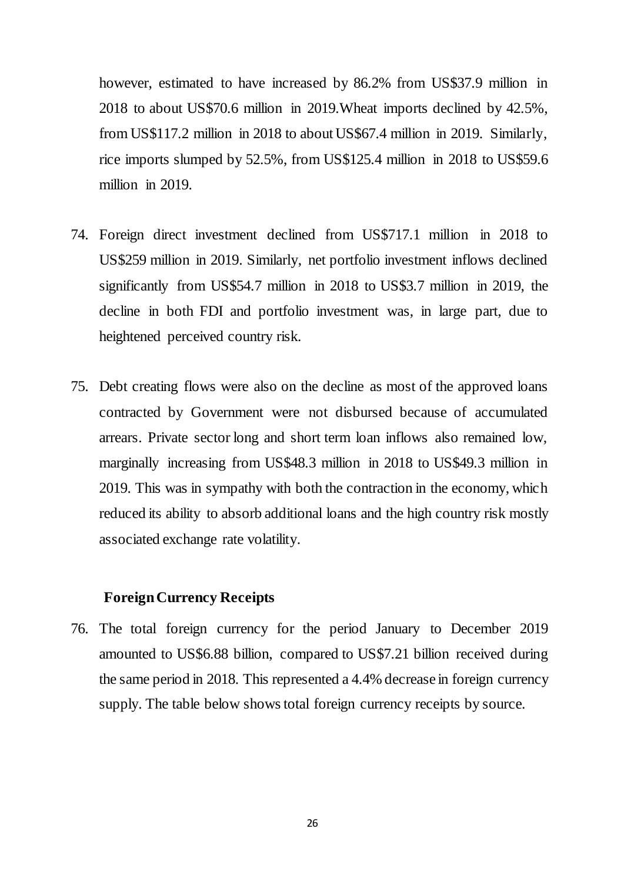however, estimated to have increased by 86.2% from US\$37.9 million in 2018 to about US\$70.6 million in 2019.Wheat imports declined by 42.5%, from US\$117.2 million in 2018 to about US\$67.4 million in 2019. Similarly, rice imports slumped by 52.5%, from US\$125.4 million in 2018 to US\$59.6 million in 2019.

- 74. Foreign direct investment declined from US\$717.1 million in 2018 to US\$259 million in 2019. Similarly, net portfolio investment inflows declined significantly from US\$54.7 million in 2018 to US\$3.7 million in 2019, the decline in both FDI and portfolio investment was, in large part, due to heightened perceived country risk.
- 75. Debt creating flows were also on the decline as most of the approved loans contracted by Government were not disbursed because of accumulated arrears. Private sector long and short term loan inflows also remained low, marginally increasing from US\$48.3 million in 2018 to US\$49.3 million in 2019. This was in sympathy with both the contraction in the economy, which reduced its ability to absorb additional loans and the high country risk mostly associated exchange rate volatility.

#### <span id="page-25-0"></span>**Foreign Currency Receipts**

76. The total foreign currency for the period January to December 2019 amounted to US\$6.88 billion, compared to US\$7.21 billion received during the same period in 2018. This represented a 4.4% decrease in foreign currency supply. The table below shows total foreign currency receipts by source.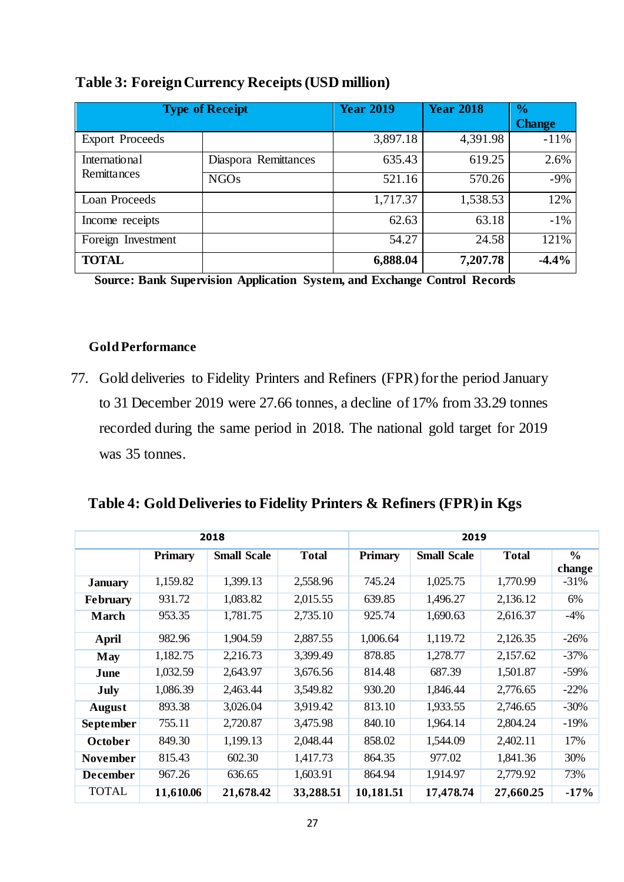| <b>Type of Receipt</b>       |                      | <b>Year 2019</b> | <b>Year 2018</b> | $\frac{6}{6}$ |
|------------------------------|----------------------|------------------|------------------|---------------|
|                              |                      |                  |                  | <b>Change</b> |
| <b>Export Proceeds</b>       |                      | 3,897.18         | 4,391.98         | $-11%$        |
| International<br>Remittances | Diaspora Remittances | 635.43           | 619.25           | 2.6%          |
|                              | <b>NGOs</b>          | 521.16           | 570.26           | $-9%$         |
| Loan Proceeds                |                      | 1,717.37         | 1,538.53         | 12%           |
| Income receipts              |                      | 62.63            | 63.18            | $-1%$         |
| Foreign Investment           |                      | 54.27            | 24.58            | 121%          |
| <b>TOTAL</b>                 |                      | 6,888.04         | 7,207.78         | $-4.4%$       |

## <span id="page-26-1"></span>**Table 3: Foreign Currency Receipts (USD million)**

**Source: Bank Supervision Application System, and Exchange Control Records**

#### <span id="page-26-0"></span> **Gold Performance**

77. Gold deliveries to Fidelity Printers and Refiners (FPR) for the period January to 31 December 2019 were 27.66 tonnes, a decline of 17% from 33.29 tonnes recorded during the same period in 2018. The national gold target for 2019 was 35 tonnes.

## <span id="page-26-2"></span>**Table 4: Gold Deliveries to Fidelity Printers & Refiners (FPR) in Kgs**

|                  |                | 2019<br>2018       |              |                |                    |              |                         |
|------------------|----------------|--------------------|--------------|----------------|--------------------|--------------|-------------------------|
|                  | <b>Primary</b> | <b>Small Scale</b> | <b>Total</b> | <b>Primary</b> | <b>Small Scale</b> | <b>Total</b> | $\frac{6}{6}$<br>change |
| <b>January</b>   | 1,159.82       | 1,399.13           | 2,558.96     | 745.24         | 1,025.75           | 1,770.99     | $-31%$                  |
| <b>February</b>  | 931.72         | 1,083.82           | 2,015.55     | 639.85         | 1,496.27           | 2,136.12     | 6%                      |
| <b>March</b>     | 953.35         | 1,781.75           | 2,735.10     | 925.74         | 1,690.63           | 2,616.37     | $-4%$                   |
| <b>April</b>     | 982.96         | 1,904.59           | 2,887.55     | 1,006.64       | 1,119.72           | 2,126.35     | $-26%$                  |
| May              | 1,182.75       | 2,216.73           | 3,399.49     | 878.85         | 1,278.77           | 2,157.62     | $-37%$                  |
| June             | 1,032.59       | 2,643.97           | 3,676.56     | 814.48         | 687.39             | 1,501.87     | $-59%$                  |
| July             | 1,086.39       | 2,463.44           | 3,549.82     | 930.20         | 1,846.44           | 2,776.65     | $-22%$                  |
| August           | 893.38         | 3,026.04           | 3,919.42     | 813.10         | 1,933.55           | 2,746.65     | $-30%$                  |
| <b>September</b> | 755.11         | 2,720.87           | 3,475.98     | 840.10         | 1,964.14           | 2,804.24     | $-19%$                  |
| October          | 849.30         | 1,199.13           | 2,048.44     | 858.02         | 1,544.09           | 2,402.11     | 17%                     |
| <b>November</b>  | 815.43         | 602.30             | 1,417.73     | 864.35         | 977.02             | 1,841.36     | 30%                     |
| <b>December</b>  | 967.26         | 636.65             | 1,603.91     | 864.94         | 1,914.97           | 2,779.92     | 73%                     |
| <b>TOTAL</b>     | 11,610.06      | 21,678.42          | 33,288.51    | 10,181.51      | 17,478.74          | 27,660.25    | $-17%$                  |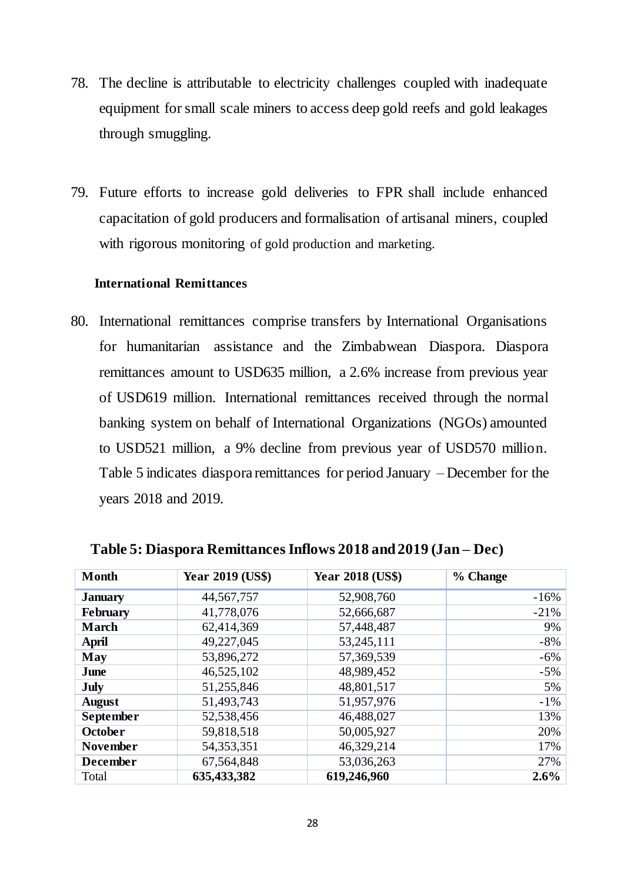- 78. The decline is attributable to electricity challenges coupled with inadequate equipment for small scale miners to access deep gold reefs and gold leakages through smuggling.
- 79. Future efforts to increase gold deliveries to FPR shall include enhanced capacitation of gold producers and formalisation of artisanal miners, coupled with rigorous monitoring of gold production and marketing.

#### <span id="page-27-0"></span>**International Remittances**

80. International remittances comprise transfers by International Organisations for humanitarian assistance and the Zimbabwean Diaspora. Diaspora remittances amount to USD635 million, a 2.6% increase from previous year of USD619 million. International remittances received through the normal banking system on behalf of International Organizations (NGOs) amounted to USD521 million, a 9% decline from previous year of USD570 million. Table 5 indicates diaspora remittances for period January – December for the years 2018 and 2019.

| <b>Month</b>     | <b>Year 2019 (US\$)</b> | <b>Year 2018 (US\$)</b> | % Change |
|------------------|-------------------------|-------------------------|----------|
| <b>January</b>   | 44, 567, 757            | 52,908,760              | $-16%$   |
| <b>February</b>  | 41,778,076              | 52,666,687              | $-21%$   |
| <b>March</b>     | 62,414,369              | 57,448,487              | 9%       |
| April            | 49,227,045              | 53,245,111              | $-8%$    |
| May              | 53,896,272              | 57,369,539              | $-6%$    |
| June             | 46,525,102              | 48,989,452              | $-5%$    |
| <b>July</b>      | 51,255,846              | 48,801,517              | 5%       |
| <b>August</b>    | 51,493,743              | 51,957,976              | $-1\%$   |
| <b>September</b> | 52,538,456              | 46,488,027              | 13%      |
| <b>October</b>   | 59,818,518              | 50,005,927              | 20%      |
| <b>November</b>  | 54, 353, 351            | 46,329,214              | 17%      |
| <b>December</b>  | 67,564,848              | 53,036,263              | 27%      |
| Total            | 635,433,382             | 619,246,960             | 2.6%     |

<span id="page-27-1"></span> **Table 5: Diaspora Remittances Inflows 2018 and 2019 (Jan – Dec)**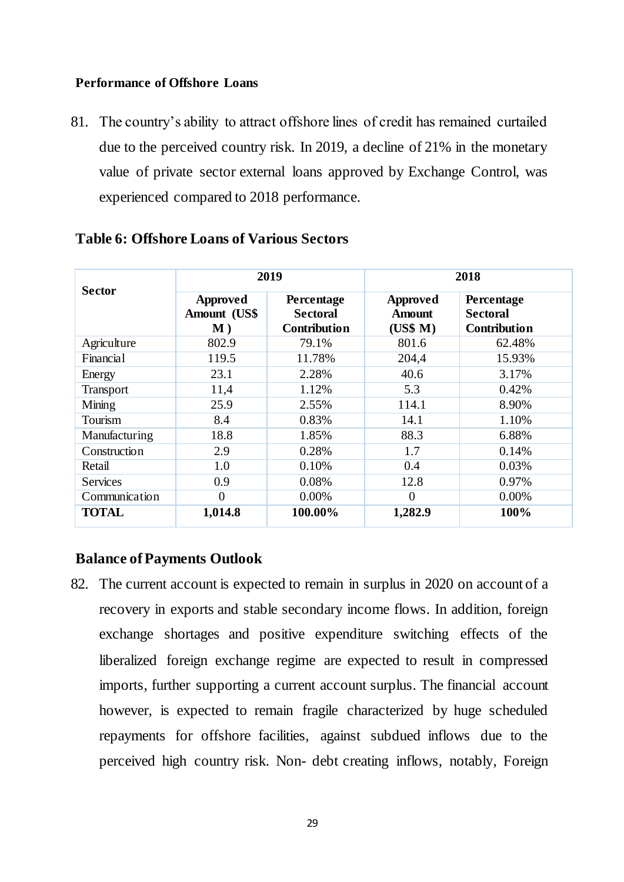#### <span id="page-28-0"></span>**Performance of Offshore Loans**

81. The country's ability to attract offshore lines of credit has remained curtailed due to the perceived country risk. In 2019, a decline of 21% in the monetary value of private sector external loans approved by Exchange Control, was experienced compared to 2018 performance.

| <b>Sector</b>   | 2019                                       |                                                      |                                       | 2018                                                 |
|-----------------|--------------------------------------------|------------------------------------------------------|---------------------------------------|------------------------------------------------------|
|                 | Approved<br>Amount (US\$<br>$\mathbf{M}$ ) | Percentage<br><b>Sectoral</b><br><b>Contribution</b> | Approved<br><b>Amount</b><br>(US\$ M) | Percentage<br><b>Sectoral</b><br><b>Contribution</b> |
| Agriculture     | 802.9                                      | 79.1%                                                | 801.6                                 | 62.48%                                               |
| Financial       | 119.5                                      | 11.78%                                               | 204,4                                 | 15.93%                                               |
| Energy          | 23.1                                       | 2.28%                                                | 40.6                                  | 3.17%                                                |
| Transport       | 11,4                                       | 1.12%                                                | 5.3                                   | 0.42%                                                |
| Mining          | 25.9                                       | 2.55%                                                | 114.1                                 | 8.90%                                                |
| Tourism         | 8.4                                        | 0.83%                                                | 14.1                                  | 1.10%                                                |
| Manufacturing   | 18.8                                       | 1.85%                                                | 88.3                                  | 6.88%                                                |
| Construction    | 2.9                                        | 0.28%                                                | 1.7                                   | 0.14%                                                |
| Retail          | 1.0                                        | 0.10%                                                | 0.4                                   | 0.03%                                                |
| <b>Services</b> | 0.9                                        | 0.08%                                                | 12.8                                  | 0.97%                                                |
| Communication   | 0                                          | 0.00%                                                | $\theta$                              | 0.00%                                                |
| <b>TOTAL</b>    | 1,014.8                                    | 100.00%                                              | 1,282.9                               | 100%                                                 |

#### <span id="page-28-1"></span>**Table 6: Offshore Loans of Various Sectors**

## **Balance of Payments Outlook**

82. The current account is expected to remain in surplus in 2020 on account of a recovery in exports and stable secondary income flows. In addition, foreign exchange shortages and positive expenditure switching effects of the liberalized foreign exchange regime are expected to result in compressed imports, further supporting a current account surplus. The financial account however, is expected to remain fragile characterized by huge scheduled repayments for offshore facilities, against subdued inflows due to the perceived high country risk. Non- debt creating inflows, notably, Foreign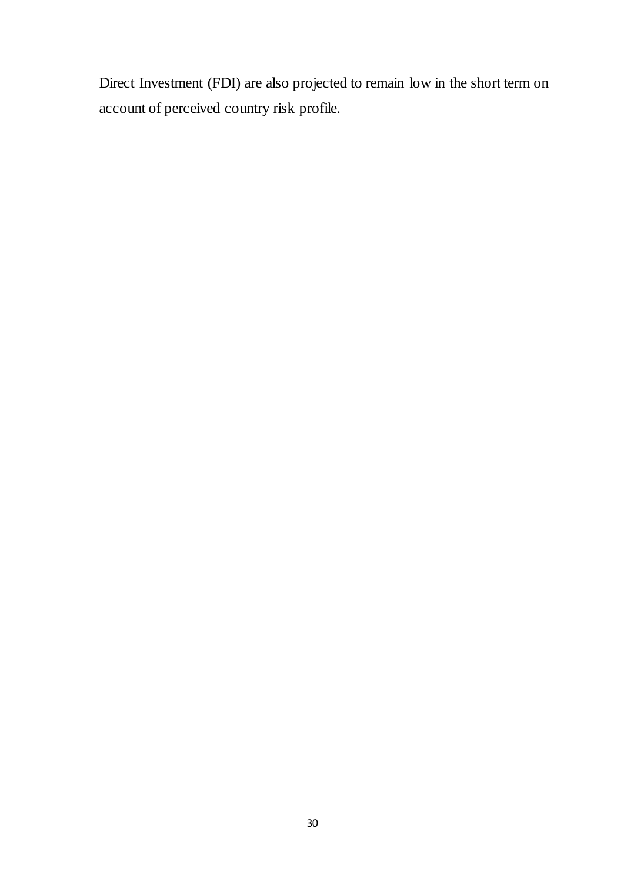Direct Investment (FDI) are also projected to remain low in the short term on account of perceived country risk profile.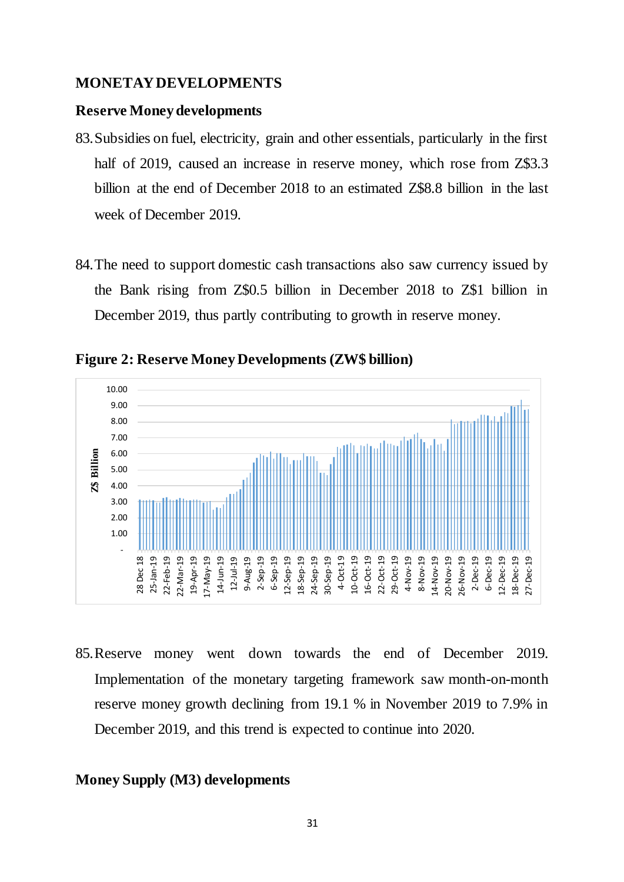#### <span id="page-30-0"></span>**MONETAY DEVELOPMENTS**

#### **Reserve Money developments**

- 83.Subsidies on fuel, electricity, grain and other essentials, particularly in the first half of 2019, caused an increase in reserve money, which rose from  $Z$3.3$ billion at the end of December 2018 to an estimated Z\$8.8 billion in the last week of December 2019.
- 84.The need to support domestic cash transactions also saw currency issued by the Bank rising from Z\$0.5 billion in December 2018 to Z\$1 billion in December 2019, thus partly contributing to growth in reserve money.



<span id="page-30-1"></span>**Figure 2: Reserve Money Developments (ZW\$ billion)**

85.Reserve money went down towards the end of December 2019. Implementation of the monetary targeting framework saw month-on-month reserve money growth declining from 19.1 % in November 2019 to 7.9% in December 2019, and this trend is expected to continue into 2020.

#### **Money Supply (M3) developments**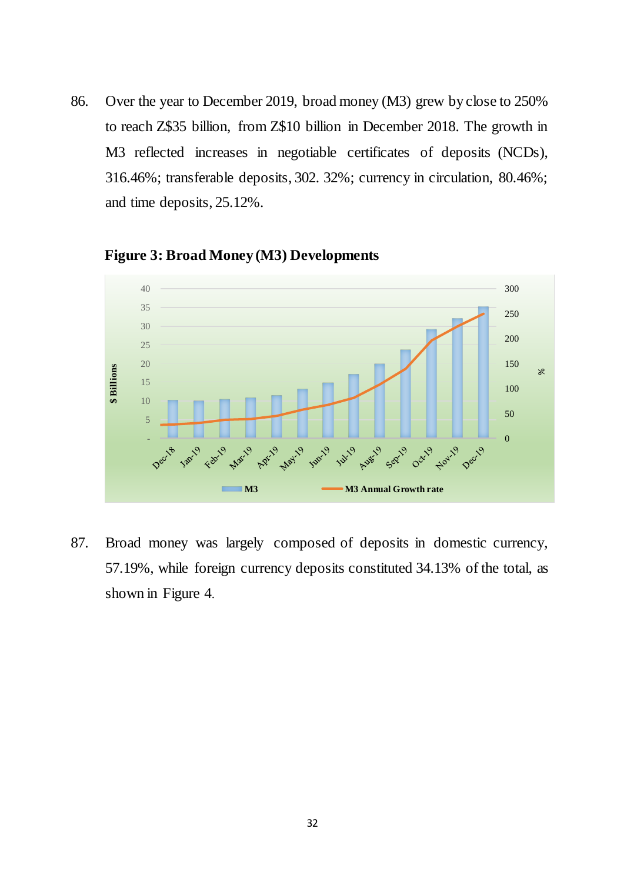86. Over the year to December 2019, broad money (M3) grew by close to 250% to reach Z\$35 billion, from Z\$10 billion in December 2018. The growth in M3 reflected increases in negotiable certificates of deposits (NCDs), 316.46%; transferable deposits, 302. 32%; currency in circulation, 80.46%; and time deposits, 25.12%.



<span id="page-31-0"></span> **Figure 3: Broad Money (M3) Developments**

<span id="page-31-1"></span>87. Broad money was largely composed of deposits in domestic currency, 57.19%, while foreign currency deposits constituted 34.13% of the total, as shown in Figure 4.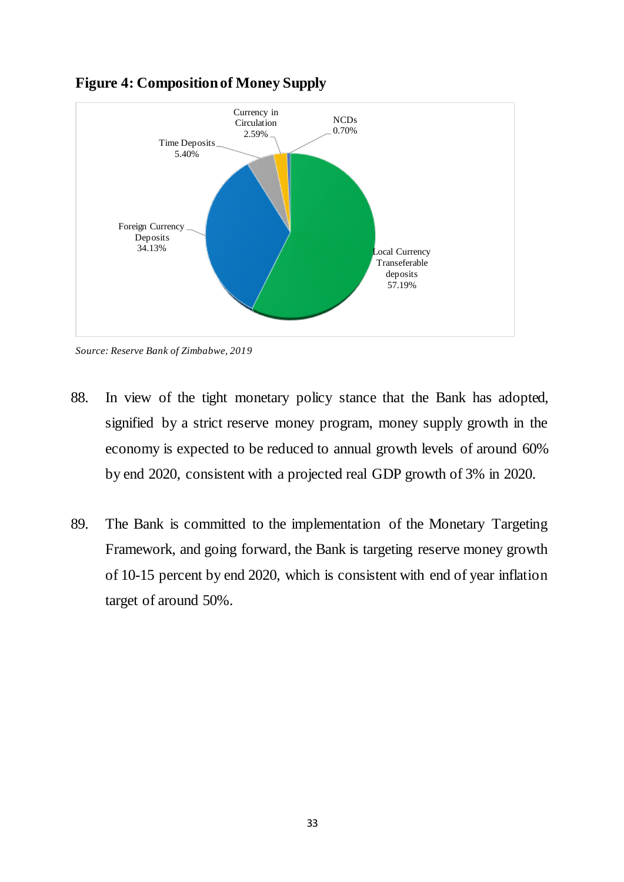

## **Figure 4: Composition of Money Supply**

*Source: Reserve Bank of Zimbabwe, 2019*

- 88. In view of the tight monetary policy stance that the Bank has adopted, signified by a strict reserve money program, money supply growth in the economy is expected to be reduced to annual growth levels of around 60% by end 2020, consistent with a projected real GDP growth of 3% in 2020.
- 89. The Bank is committed to the implementation of the Monetary Targeting Framework, and going forward, the Bank is targeting reserve money growth of 10-15 percent by end 2020, which is consistent with end of year inflation target of around 50%.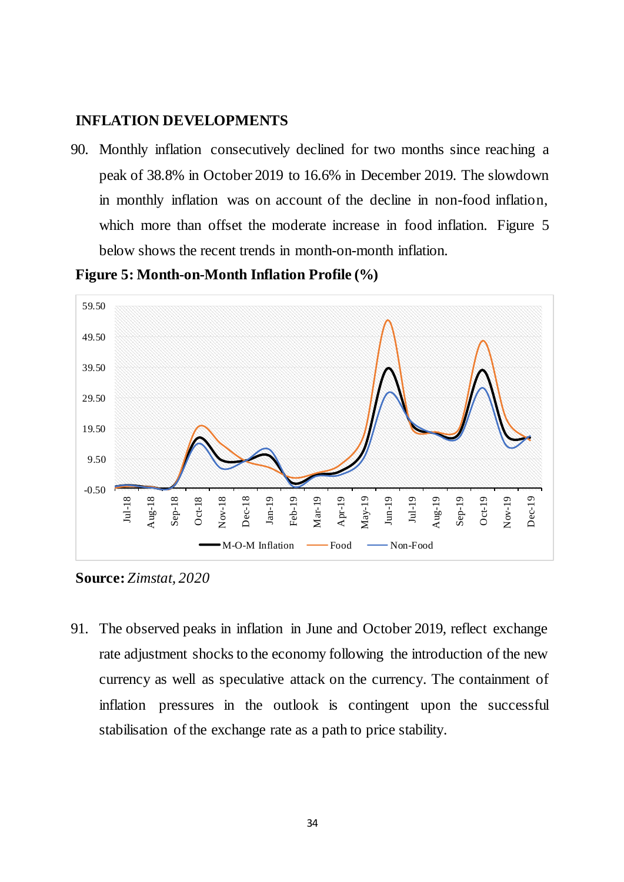### <span id="page-33-0"></span>**INFLATION DEVELOPMENTS**

90. Monthly inflation consecutively declined for two months since reaching a peak of 38.8% in October 2019 to 16.6% in December 2019. The slowdown in monthly inflation was on account of the decline in non-food inflation, which more than offset the moderate increase in food inflation. Figure 5 below shows the recent trends in month-on-month inflation.

-0.50 9.50 19.50 29.50 39.50 49.50 59.50 Jul-18 Aug-18 Sep-18 Oct-18 Nov-18 Dec-18 Jan-19 Feb-19 Mar-19 Apr-19 May-19 Jun-19 Jul-19 Aug-19 Sep-19 Oct-19 Nov-19 Dec-19 M-O-M Inflation  $\longrightarrow$  Food  $\longrightarrow$  Non-Food

<span id="page-33-1"></span>**Figure 5: Month-on-Month Inflation Profile (%)**

**Source:** *Zimstat, 2020*

91. The observed peaks in inflation in June and October 2019, reflect exchange rate adjustment shocks to the economy following the introduction of the new currency as well as speculative attack on the currency. The containment of inflation pressures in the outlook is contingent upon the successful stabilisation of the exchange rate as a path to price stability.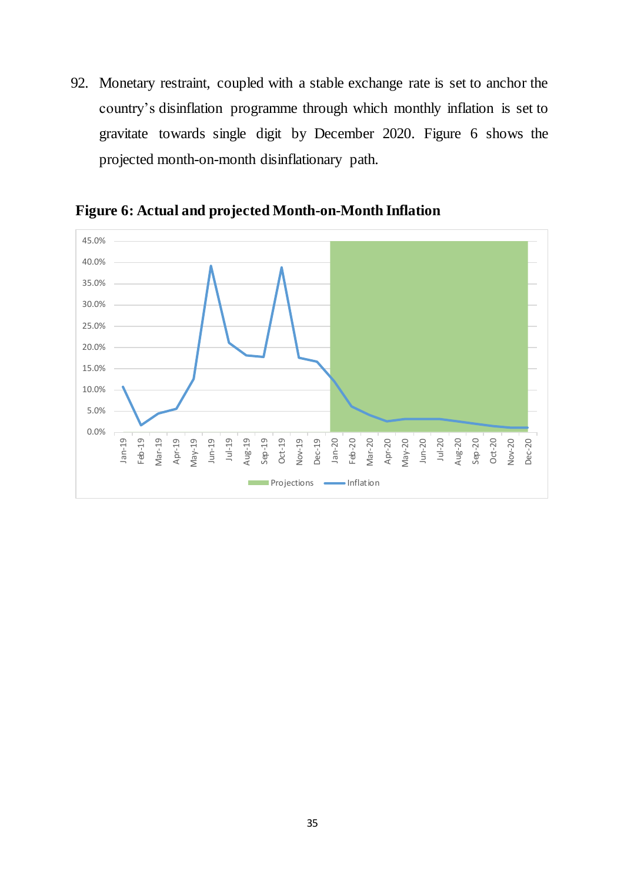92. Monetary restraint, coupled with a stable exchange rate is set to anchor the country's disinflation programme through which monthly inflation is set to gravitate towards single digit by December 2020. Figure 6 shows the projected month-on-month disinflationary path.



<span id="page-34-0"></span>**Figure 6: Actual and projected Month-on-Month Inflation**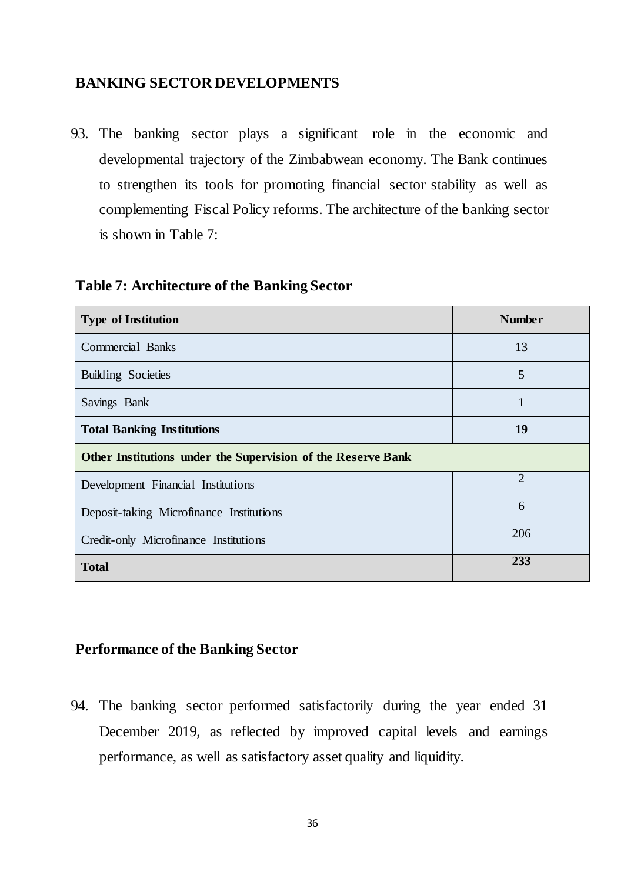## **BANKING SECTOR DEVELOPMENTS**

93. The banking sector plays a significant role in the economic and developmental trajectory of the Zimbabwean economy. The Bank continues to strengthen its tools for promoting financial sector stability as well as complementing Fiscal Policy reforms. The architecture of the banking sector is shown in Table 7:

#### <span id="page-35-1"></span>**Table 7: Architecture of the Banking Sector**

| <b>Type of Institution</b>                                   | <b>Number</b>  |  |  |  |
|--------------------------------------------------------------|----------------|--|--|--|
| <b>Commercial Banks</b>                                      | 13             |  |  |  |
| <b>Building Societies</b>                                    | 5              |  |  |  |
| Savings Bank                                                 | 1              |  |  |  |
| <b>Total Banking Institutions</b>                            | 19             |  |  |  |
| Other Institutions under the Supervision of the Reserve Bank |                |  |  |  |
| Development Financial Institutions                           | $\overline{2}$ |  |  |  |
| Deposit-taking Microfinance Institutions                     | 6              |  |  |  |
| Credit-only Microfinance Institutions                        | 206            |  |  |  |
| <b>Total</b>                                                 | 233            |  |  |  |

## <span id="page-35-0"></span>**Performance of the Banking Sector**

94. The banking sector performed satisfactorily during the year ended 31 December 2019, as reflected by improved capital levels and earnings performance, as well as satisfactory asset quality and liquidity.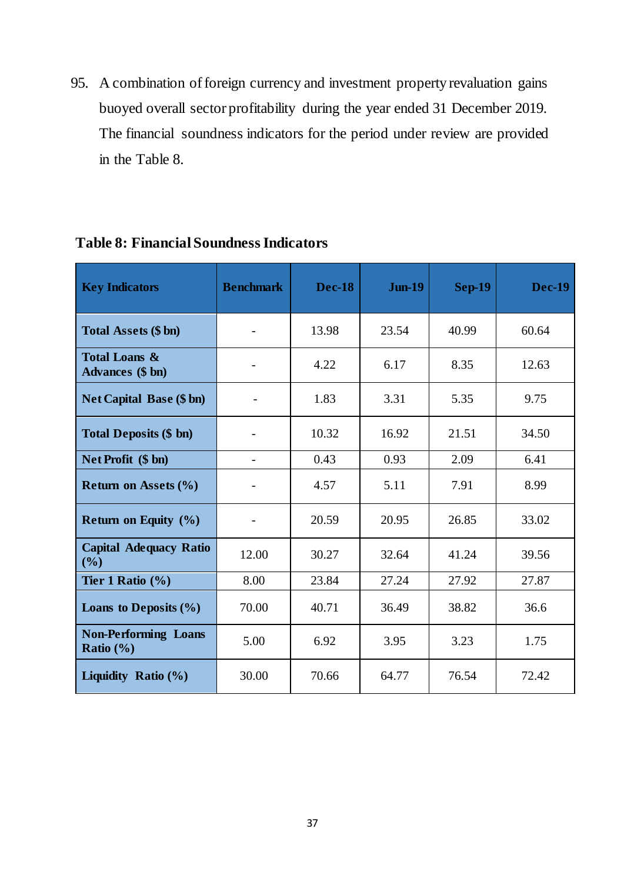95. A combination of foreign currency and investment property revaluation gains buoyed overall sector profitability during the year ended 31 December 2019. The financial soundness indicators for the period under review are provided in the Table 8.

<span id="page-36-0"></span>

| <b>Key Indicators</b>                               | <b>Benchmark</b> | <b>Dec-18</b> | <b>Jun-19</b> | <b>Sep-19</b> | <b>Dec-19</b> |
|-----------------------------------------------------|------------------|---------------|---------------|---------------|---------------|
| <b>Total Assets (\$ bn)</b>                         |                  | 13.98         | 23.54         | 40.99         | 60.64         |
| <b>Total Loans &amp;</b><br><b>Advances</b> (\$ bn) |                  | 4.22          | 6.17          | 8.35          | 12.63         |
| <b>Net Capital Base (\$ bn)</b>                     |                  | 1.83          | 3.31          | 5.35          | 9.75          |
| <b>Total Deposits (\$ bn)</b>                       |                  | 10.32         | 16.92         | 21.51         | 34.50         |
| Net Profit (\$ bn)                                  |                  | 0.43          | 0.93          | 2.09          | 6.41          |
| Return on Assets $(\% )$                            |                  | 4.57          | 5.11          | 7.91          | 8.99          |
| Return on Equity $(\% )$                            |                  | 20.59         | 20.95         | 26.85         | 33.02         |
| <b>Capital Adequacy Ratio</b><br>(%)                | 12.00            | 30.27         | 32.64         | 41.24         | 39.56         |
| Tier 1 Ratio $(\% )$                                | 8.00             | 23.84         | 27.24         | 27.92         | 27.87         |
| Loans to Deposits $(\% )$                           | 70.00            | 40.71         | 36.49         | 38.82         | 36.6          |
| <b>Non-Performing Loans</b><br>Ratio $(\% )$        | 5.00             | 6.92          | 3.95          | 3.23          | 1.75          |
| Liquidity Ratio $(\% )$                             | 30.00            | 70.66         | 64.77         | 76.54         | 72.42         |

## <span id="page-36-1"></span>**Table 8: Financial Soundness Indicators**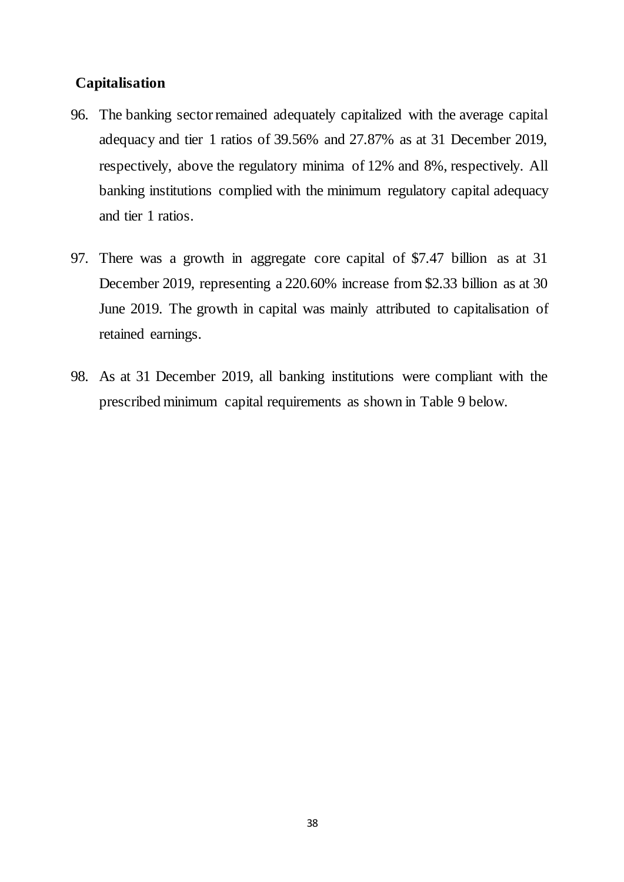## **Capitalisation**

- 96. The banking sector remained adequately capitalized with the average capital adequacy and tier 1 ratios of 39.56% and 27.87% as at 31 December 2019, respectively, above the regulatory minima of 12% and 8%, respectively. All banking institutions complied with the minimum regulatory capital adequacy and tier 1 ratios.
- 97. There was a growth in aggregate core capital of \$7.47 billion as at 31 December 2019, representing a 220.60% increase from \$2.33 billion as at 30 June 2019. The growth in capital was mainly attributed to capitalisation of retained earnings.
- 98. As at 31 December 2019, all banking institutions were compliant with the prescribed minimum capital requirements as shown in Table 9 below.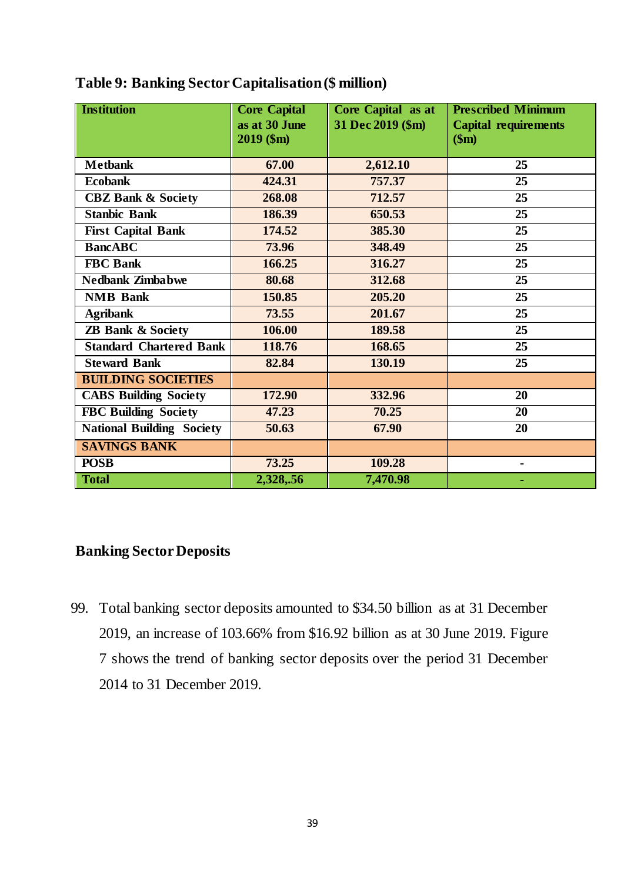| <b>Institution</b>               | <b>Core Capital</b><br>as at 30 June<br>2019 (\$m) | Core Capital as at<br>31 Dec 2019 (\$m) | <b>Prescribed Minimum</b><br><b>Capital requirements</b><br>\$m\$ |
|----------------------------------|----------------------------------------------------|-----------------------------------------|-------------------------------------------------------------------|
| <b>Metbank</b>                   | 67.00                                              | 2,612.10                                | 25                                                                |
| <b>Ecobank</b>                   | 424.31                                             | 757.37                                  | 25                                                                |
| <b>CBZ Bank &amp; Society</b>    | 268.08                                             | 712.57                                  | 25                                                                |
| <b>Stanbic Bank</b>              | 186.39                                             | 650.53                                  | 25                                                                |
| <b>First Capital Bank</b>        | 174.52                                             | 385.30                                  | 25                                                                |
| <b>BancABC</b>                   | 73.96                                              | 348.49                                  | 25                                                                |
| <b>FBC</b> Bank                  | 166.25                                             | 316.27                                  | 25                                                                |
| <b>Nedbank Zimbabwe</b>          | 80.68                                              | 312.68                                  | 25                                                                |
| <b>NMB</b> Bank                  | 150.85                                             | 205.20                                  | 25                                                                |
| <b>Agribank</b>                  | 73.55                                              | 201.67                                  | 25                                                                |
| <b>ZB Bank &amp; Society</b>     | 106.00                                             | 189.58                                  | 25                                                                |
| <b>Standard Chartered Bank</b>   | 118.76                                             | 168.65                                  | 25                                                                |
| <b>Steward Bank</b>              | 82.84                                              | 130.19                                  | 25                                                                |
| <b>BUILDING SOCIETIES</b>        |                                                    |                                         |                                                                   |
| <b>CABS Building Society</b>     | 172.90                                             | 332.96                                  | 20                                                                |
| <b>FBC Building Society</b>      | 47.23                                              | 70.25                                   | 20                                                                |
| <b>National Building Society</b> | 50.63                                              | 67.90                                   | 20                                                                |
| <b>SAVINGS BANK</b>              |                                                    |                                         |                                                                   |
| <b>POSB</b>                      | 73.25                                              | 109.28                                  |                                                                   |
| <b>Total</b>                     | 2,328,.56                                          | 7,470.98                                | ۰                                                                 |

<span id="page-38-1"></span>

|  | Table 9: Banking Sector Capitalisation (\$ million) |  |  |  |  |
|--|-----------------------------------------------------|--|--|--|--|
|--|-----------------------------------------------------|--|--|--|--|

## <span id="page-38-0"></span>**Banking Sector Deposits**

<span id="page-38-2"></span>99. Total banking sector deposits amounted to \$34.50 billion as at 31 December 2019, an increase of 103.66% from \$16.92 billion as at 30 June 2019. Figure 7 shows the trend of banking sector deposits over the period 31 December 2014 to 31 December 2019.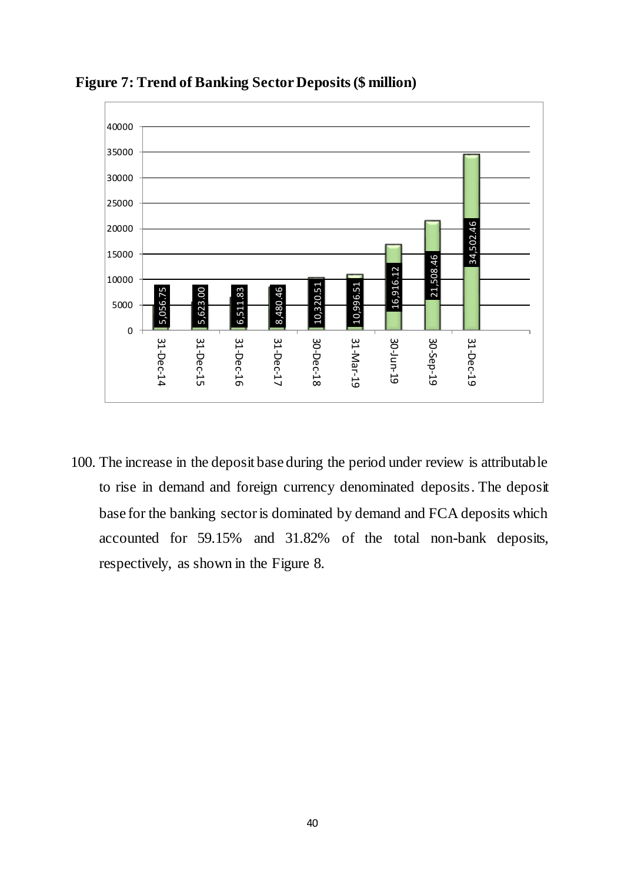

**Figure 7: Trend of Banking Sector Deposits (\$ million)**

<span id="page-39-0"></span>100. The increase in the deposit base during the period under review is attributable to rise in demand and foreign currency denominated deposits. The deposit base for the banking sector is dominated by demand and FCA deposits which accounted for 59.15% and 31.82% of the total non-bank deposits,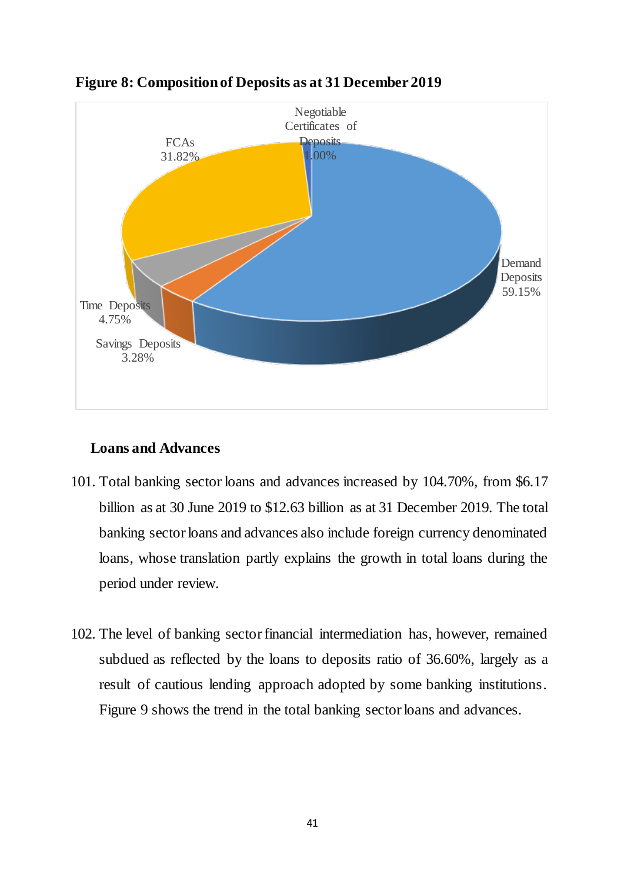

## **Figure 8: Composition of Deposits as at 31 December 2019**

## **Loans and Advances**

- 101. Total banking sector loans and advances increased by 104.70%, from \$6.17 billion as at 30 June 2019 to \$12.63 billion as at 31 December 2019. The total banking sector loans and advances also include foreign currency denominated loans, whose translation partly explains the growth in total loans during the period under review.
- 102. The level of banking sector financial intermediation has, however, remained subdued as reflected by the loans to deposits ratio of 36.60%, largely as a result of cautious lending approach adopted by some banking institutions. Figure 9 shows the trend in the total banking sector loans and advances.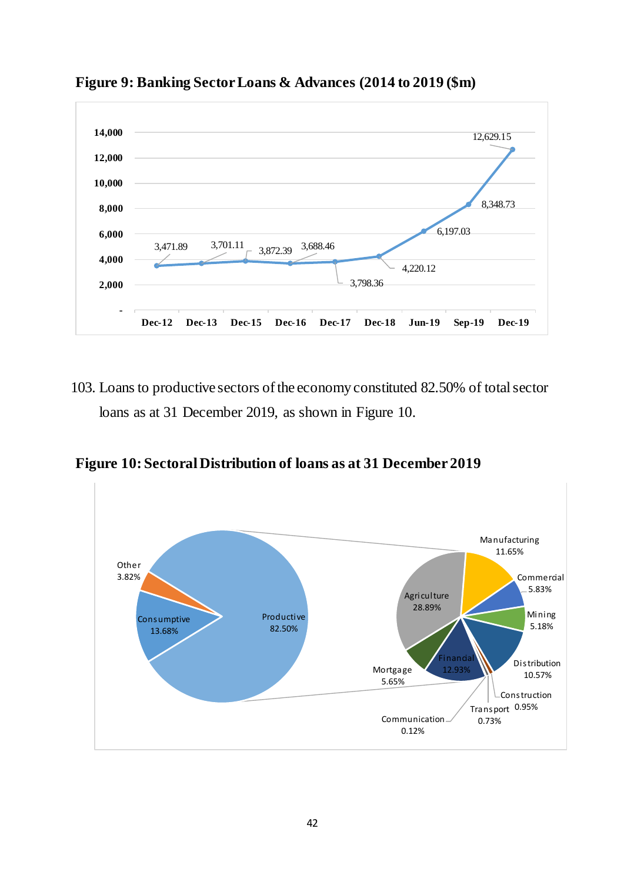

<span id="page-41-0"></span>**Figure 9: Banking Sector Loans & Advances (2014 to 2019 (\$m)**

103. Loans to productive sectors of the economy constituted 82.50% of total sector loans as at 31 December 2019, as shown in Figure 10.

<span id="page-41-1"></span>**Figure 10: Sectoral Distribution of loans as at 31 December 2019**

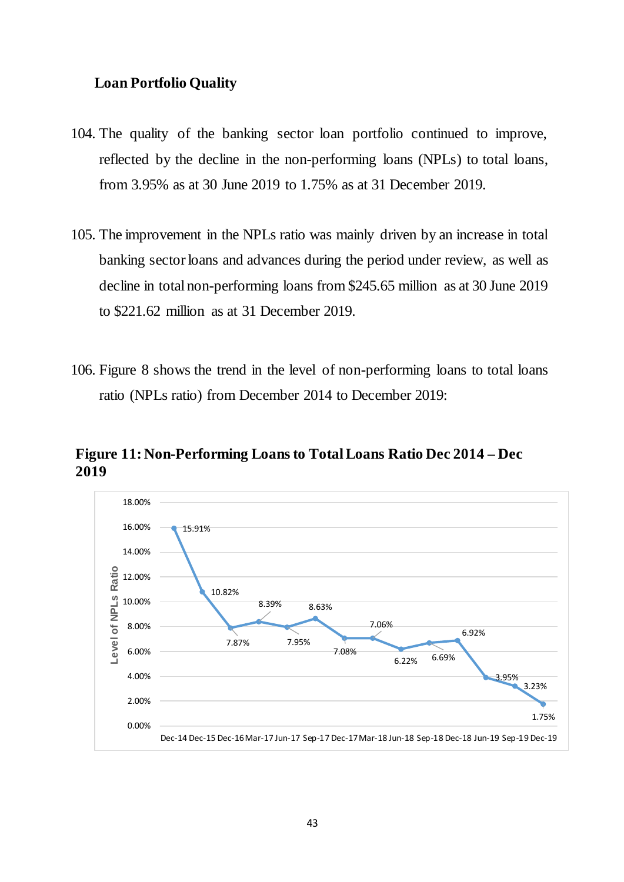### **Loan Portfolio Quality**

- 104. The quality of the banking sector loan portfolio continued to improve, reflected by the decline in the non-performing loans (NPLs) to total loans, from 3.95% as at 30 June 2019 to 1.75% as at 31 December 2019.
- 105. The improvement in the NPLs ratio was mainly driven by an increase in total banking sector loans and advances during the period under review, as well as decline in total non-performing loans from \$245.65 million as at 30 June 2019 to \$221.62 million as at 31 December 2019.
- 106. Figure 8 shows the trend in the level of non-performing loans to total loans ratio (NPLs ratio) from December 2014 to December 2019:

<span id="page-42-0"></span>**Figure 11: Non-Performing Loans to Total Loans Ratio Dec 2014 – Dec 2019** 

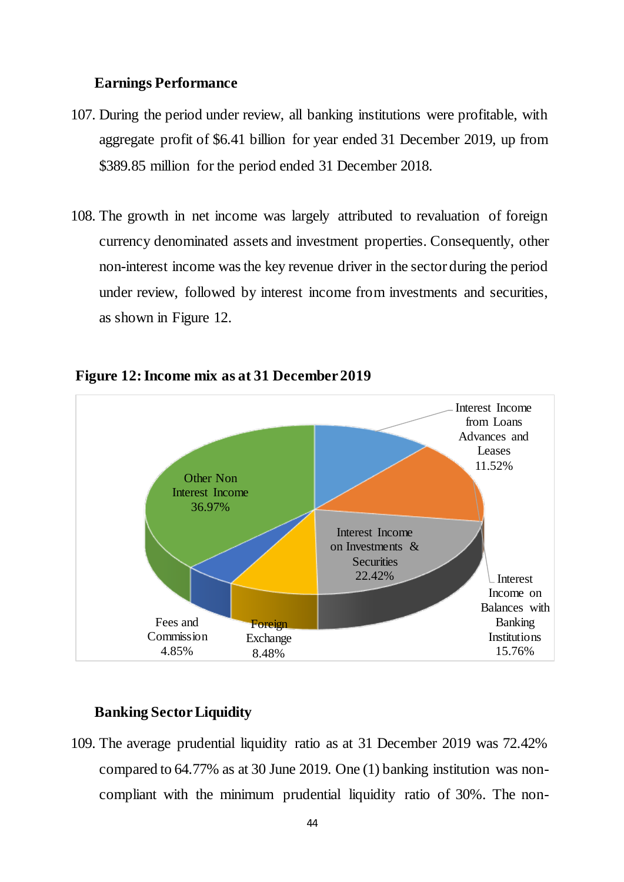#### **Earnings Performance**

- 107. During the period under review, all banking institutions were profitable, with aggregate profit of \$6.41 billion for year ended 31 December 2019, up from \$389.85 million for the period ended 31 December 2018.
- 108. The growth in net income was largely attributed to revaluation of foreign currency denominated assets and investment properties. Consequently, other non-interest income was the key revenue driver in the sector during the period under review, followed by interest income from investments and securities, as shown in Figure 12.



#### <span id="page-43-0"></span>**Figure 12: Income mix as at 31 December 2019**

## **Banking Sector Liquidity**

109. The average prudential liquidity ratio as at 31 December 2019 was 72.42% compared to 64.77% as at 30 June 2019. One (1) banking institution was noncompliant with the minimum prudential liquidity ratio of 30%. The non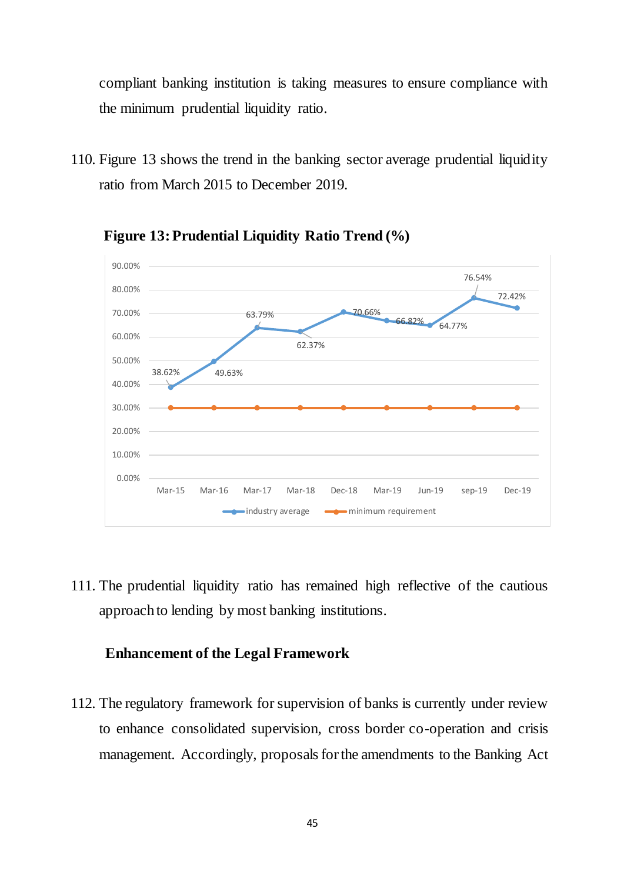compliant banking institution is taking measures to ensure compliance with the minimum prudential liquidity ratio.

110. Figure 13 shows the trend in the banking sector average prudential liquidity ratio from March 2015 to December 2019.

<span id="page-44-0"></span>

**Figure 13: Prudential Liquidity Ratio Trend (%)**

111. The prudential liquidity ratio has remained high reflective of the cautious approach to lending by most banking institutions.

#### **Enhancement of the Legal Framework**

112. The regulatory framework for supervision of banks is currently under review to enhance consolidated supervision, cross border co-operation and crisis management. Accordingly, proposals for the amendments to the Banking Act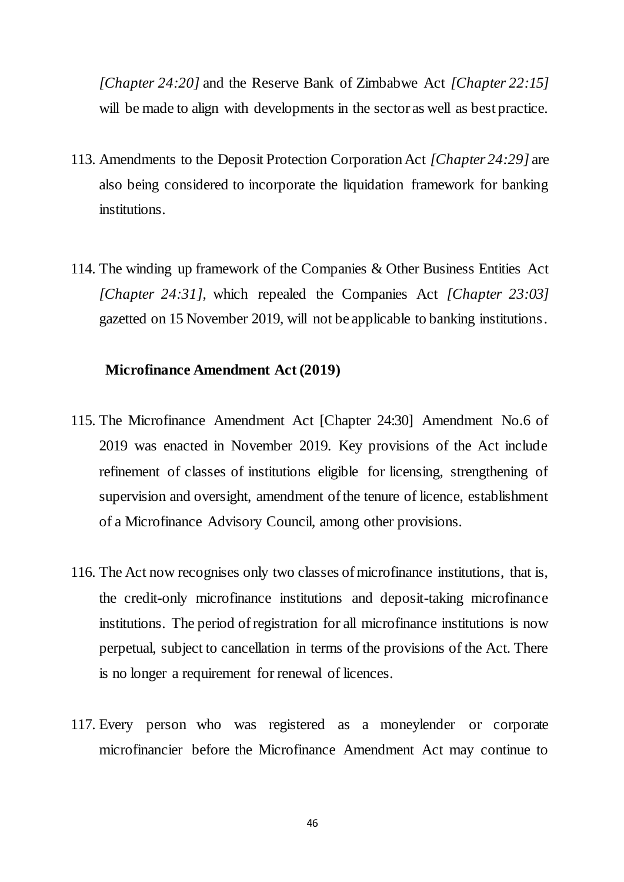*[Chapter 24:20]* and the Reserve Bank of Zimbabwe Act *[Chapter 22:15]* will be made to align with developments in the sector as well as best practice.

- 113. Amendments to the Deposit Protection Corporation Act *[Chapter 24:29]* are also being considered to incorporate the liquidation framework for banking institutions.
- 114. The winding up framework of the Companies & Other Business Entities Act *[Chapter 24:31],* which repealed the Companies Act *[Chapter 23:03]*  gazetted on 15 November 2019, will not be applicable to banking institutions*.*

#### **Microfinance Amendment Act (2019)**

- 115. The Microfinance Amendment Act [Chapter 24:30] Amendment No.6 of 2019 was enacted in November 2019. Key provisions of the Act include refinement of classes of institutions eligible for licensing, strengthening of supervision and oversight, amendment of the tenure of licence, establishment of a Microfinance Advisory Council, among other provisions.
- 116. The Act now recognises only two classes of microfinance institutions, that is, the credit-only microfinance institutions and deposit-taking microfinance institutions. The period of registration for all microfinance institutions is now perpetual, subject to cancellation in terms of the provisions of the Act. There is no longer a requirement for renewal of licences.
- 117. Every person who was registered as a moneylender or corporate microfinancier before the Microfinance Amendment Act may continue to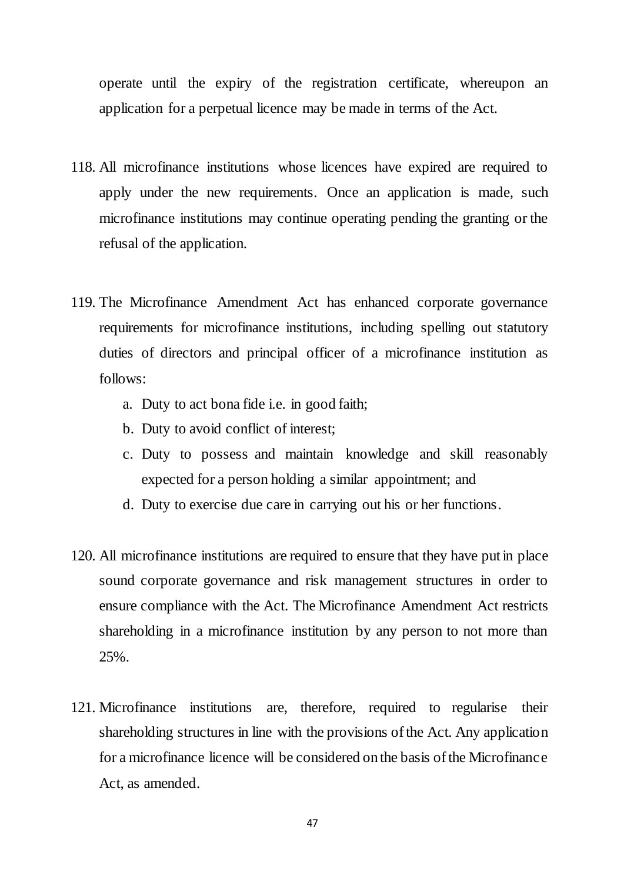operate until the expiry of the registration certificate, whereupon an application for a perpetual licence may be made in terms of the Act.

- 118. All microfinance institutions whose licences have expired are required to apply under the new requirements. Once an application is made, such microfinance institutions may continue operating pending the granting or the refusal of the application.
- 119. The Microfinance Amendment Act has enhanced corporate governance requirements for microfinance institutions, including spelling out statutory duties of directors and principal officer of a microfinance institution as follows:
	- a. Duty to act bona fide i.e. in good faith;
	- b. Duty to avoid conflict of interest;
	- c. Duty to possess and maintain knowledge and skill reasonably expected for a person holding a similar appointment; and
	- d. Duty to exercise due care in carrying out his or her functions.
- 120. All microfinance institutions are required to ensure that they have put in place sound corporate governance and risk management structures in order to ensure compliance with the Act. The Microfinance Amendment Act restricts shareholding in a microfinance institution by any person to not more than 25%.
- 121. Microfinance institutions are, therefore, required to regularise their shareholding structures in line with the provisions of the Act. Any application for a microfinance licence will be considered on the basis of the Microfinance Act, as amended.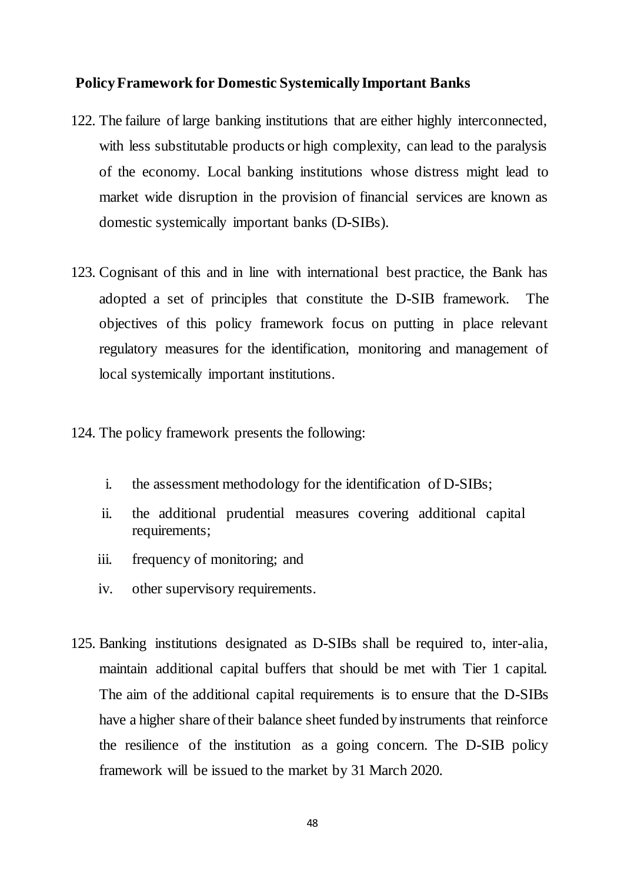#### **Policy Framework for Domestic Systemically Important Banks**

- 122. The failure of large banking institutions that are either highly interconnected, with less substitutable products or high complexity, can lead to the paralysis of the economy. Local banking institutions whose distress might lead to market wide disruption in the provision of financial services are known as domestic systemically important banks (D-SIBs).
- 123. Cognisant of this and in line with international best practice, the Bank has adopted a set of principles that constitute the D-SIB framework. The objectives of this policy framework focus on putting in place relevant regulatory measures for the identification, monitoring and management of local systemically important institutions.
- 124. The policy framework presents the following:
	- i. the assessment methodology for the identification of D-SIBs;
	- ii. the additional prudential measures covering additional capital requirements;
	- iii. frequency of monitoring; and
	- iv. other supervisory requirements.
- 125. Banking institutions designated as D-SIBs shall be required to, inter-alia, maintain additional capital buffers that should be met with Tier 1 capital. The aim of the additional capital requirements is to ensure that the D-SIBs have a higher share of their balance sheet funded by instruments that reinforce the resilience of the institution as a going concern. The D-SIB policy framework will be issued to the market by 31 March 2020.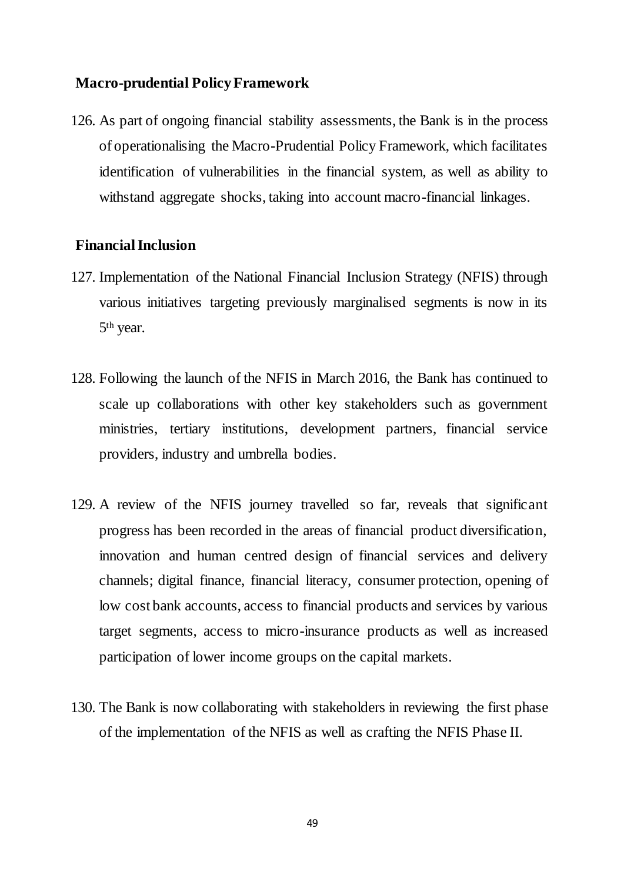### **Macro-prudential Policy Framework**

126. As part of ongoing financial stability assessments, the Bank is in the process of operationalising the Macro-Prudential Policy Framework, which facilitates identification of vulnerabilities in the financial system, as well as ability to withstand aggregate shocks, taking into account macro-financial linkages.

#### <span id="page-48-0"></span>**Financial Inclusion**

- 127. Implementation of the National Financial Inclusion Strategy (NFIS) through various initiatives targeting previously marginalised segments is now in its 5<sup>th</sup> year.
- 128. Following the launch of the NFIS in March 2016, the Bank has continued to scale up collaborations with other key stakeholders such as government ministries, tertiary institutions, development partners, financial service providers, industry and umbrella bodies.
- 129. A review of the NFIS journey travelled so far, reveals that significant progress has been recorded in the areas of financial product diversification, innovation and human centred design of financial services and delivery channels; digital finance, financial literacy, consumer protection, opening of low cost bank accounts, access to financial products and services by various target segments, access to micro-insurance products as well as increased participation of lower income groups on the capital markets.
- 130. The Bank is now collaborating with stakeholders in reviewing the first phase of the implementation of the NFIS as well as crafting the NFIS Phase II.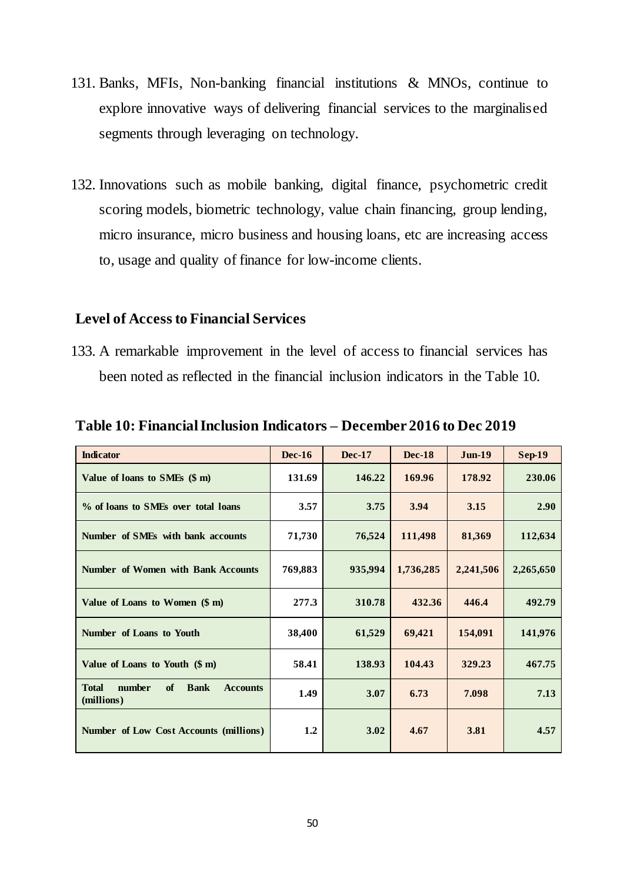- 131. Banks, MFIs, Non-banking financial institutions & MNOs, continue to explore innovative ways of delivering financial services to the marginalised segments through leveraging on technology.
- 132. Innovations such as mobile banking, digital finance, psychometric credit scoring models, biometric technology, value chain financing, group lending, micro insurance, micro business and housing loans, etc are increasing access to, usage and quality of finance for low-income clients.

### <span id="page-49-0"></span>**Level of Access to Financial Services**

133. A remarkable improvement in the level of access to financial services has been noted as reflected in the financial inclusion indicators in the Table 10.

| <b>Indicator</b>                                                             | $Dec-16$ | <b>Dec-17</b> | <b>Dec-18</b> | $Jun-19$  | Sep-19    |
|------------------------------------------------------------------------------|----------|---------------|---------------|-----------|-----------|
| Value of loans to SMEs (\$ m)                                                | 131.69   | 146.22        | 169.96        | 178.92    | 230.06    |
| % of loans to SMEs over total loans                                          | 3.57     | 3.75          | 3.94          | 3.15      | 2.90      |
| Number of SMEs with bank accounts                                            | 71,730   | 76,524        | 111,498       | 81,369    | 112,634   |
| Number of Women with Bank Accounts                                           | 769,883  | 935,994       | 1,736,285     | 2,241,506 | 2,265,650 |
| Value of Loans to Women (\$ m)                                               | 277.3    | 310.78        | 432.36        | 446.4     | 492.79    |
| Number of Loans to Youth                                                     | 38,400   | 61,529        | 69,421        | 154,091   | 141,976   |
| Value of Loans to Youth $(\$ m)$                                             | 58.41    | 138.93        | 104.43        | 329.23    | 467.75    |
| number<br><b>Bank</b><br><b>Total</b><br>of<br><b>Accounts</b><br>(millions) | 1.49     | 3.07          | 6.73          | 7.098     | 7.13      |
| Number of Low Cost Accounts (millions)                                       | 1.2      | 3.02          | 4.67          | 3.81      | 4.57      |

<span id="page-49-1"></span>**Table 10: Financial Inclusion Indicators – December 2016 to Dec 2019**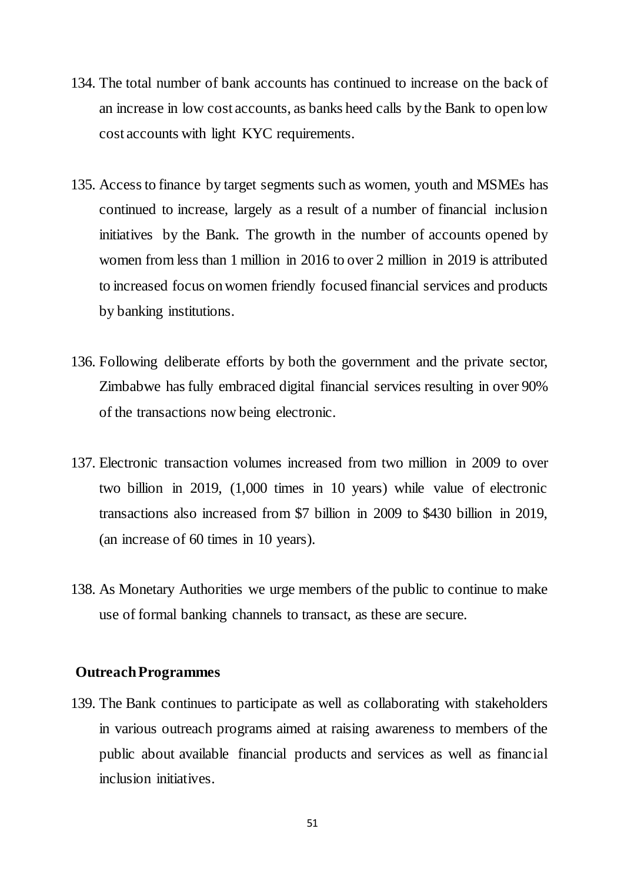- 134. The total number of bank accounts has continued to increase on the back of an increase in low cost accounts, as banks heed calls by the Bank to open low cost accounts with light KYC requirements.
- 135. Access to finance by target segments such as women, youth and MSMEs has continued to increase, largely as a result of a number of financial inclusion initiatives by the Bank. The growth in the number of accounts opened by women from less than 1 million in 2016 to over 2 million in 2019 is attributed to increased focus on women friendly focused financial services and products by banking institutions.
- 136. Following deliberate efforts by both the government and the private sector, Zimbabwe has fully embraced digital financial services resulting in over 90% of the transactions now being electronic.
- 137. Electronic transaction volumes increased from two million in 2009 to over two billion in 2019, (1,000 times in 10 years) while value of electronic transactions also increased from \$7 billion in 2009 to \$430 billion in 2019, (an increase of 60 times in 10 years).
- 138. As Monetary Authorities we urge members of the public to continue to make use of formal banking channels to transact, as these are secure.

#### **Outreach Programmes**

139. The Bank continues to participate as well as collaborating with stakeholders in various outreach programs aimed at raising awareness to members of the public about available financial products and services as well as financial inclusion initiatives.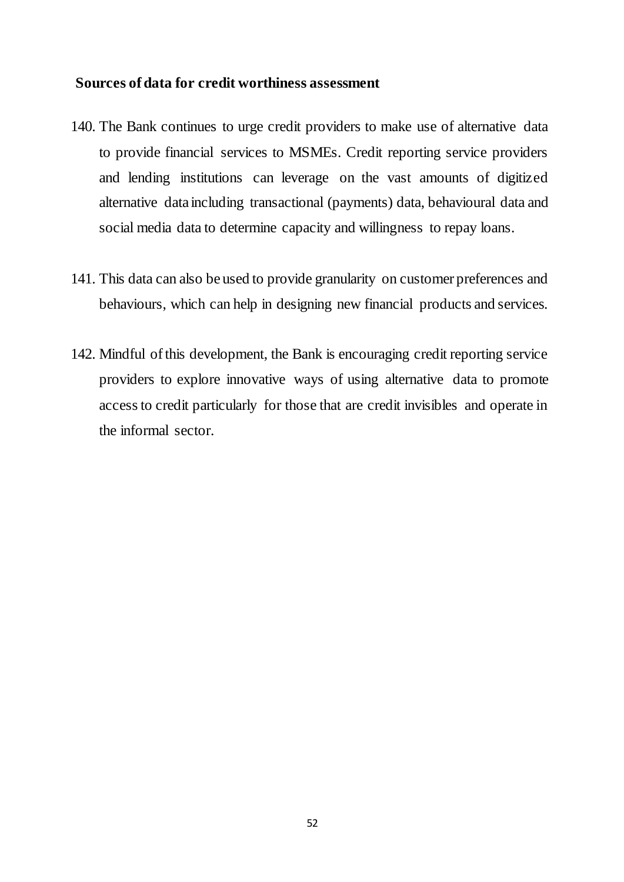### **Sources of data for credit worthiness assessment**

- 140. The Bank continues to urge credit providers to make use of alternative data to provide financial services to MSMEs. Credit reporting service providers and lending institutions can leverage on the vast amounts of digitized alternative data including transactional (payments) data, behavioural data and social media data to determine capacity and willingness to repay loans.
- 141. This data can also be used to provide granularity on customer preferences and behaviours, which can help in designing new financial products and services.
- 142. Mindful of this development, the Bank is encouraging credit reporting service providers to explore innovative ways of using alternative data to promote access to credit particularly for those that are credit invisibles and operate in the informal sector.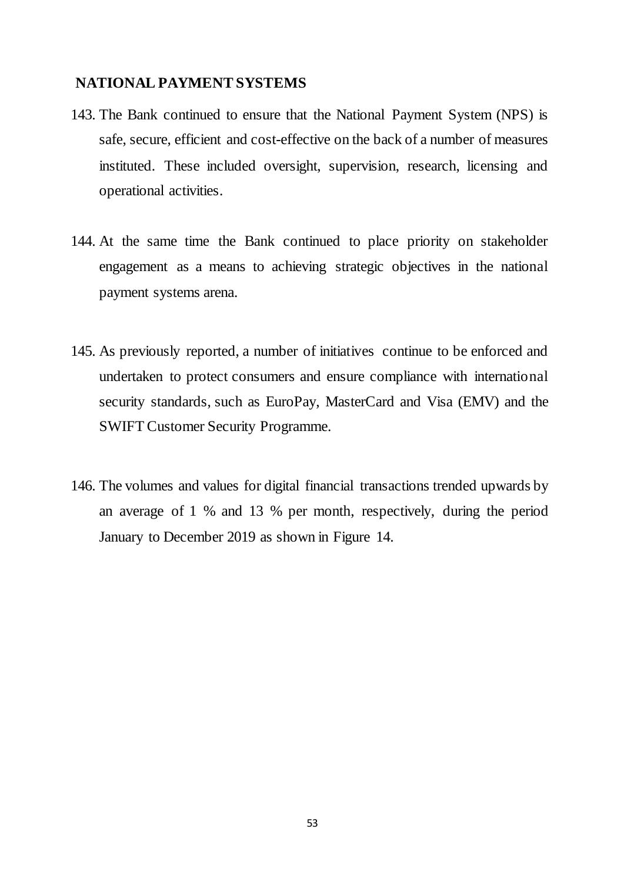### <span id="page-52-0"></span>**NATIONAL PAYMENT SYSTEMS**

- 143. The Bank continued to ensure that the National Payment System (NPS) is safe, secure, efficient and cost-effective on the back of a number of measures instituted. These included oversight, supervision, research, licensing and operational activities.
- 144. At the same time the Bank continued to place priority on stakeholder engagement as a means to achieving strategic objectives in the national payment systems arena.
- 145. As previously reported, a number of initiatives continue to be enforced and undertaken to protect consumers and ensure compliance with international security standards, such as EuroPay, MasterCard and Visa (EMV) and the SWIFT Customer Security Programme.
- 146. The volumes and values for digital financial transactions trended upwards by an average of 1 % and 13 % per month, respectively, during the period January to December 2019 as shown in Figure 14.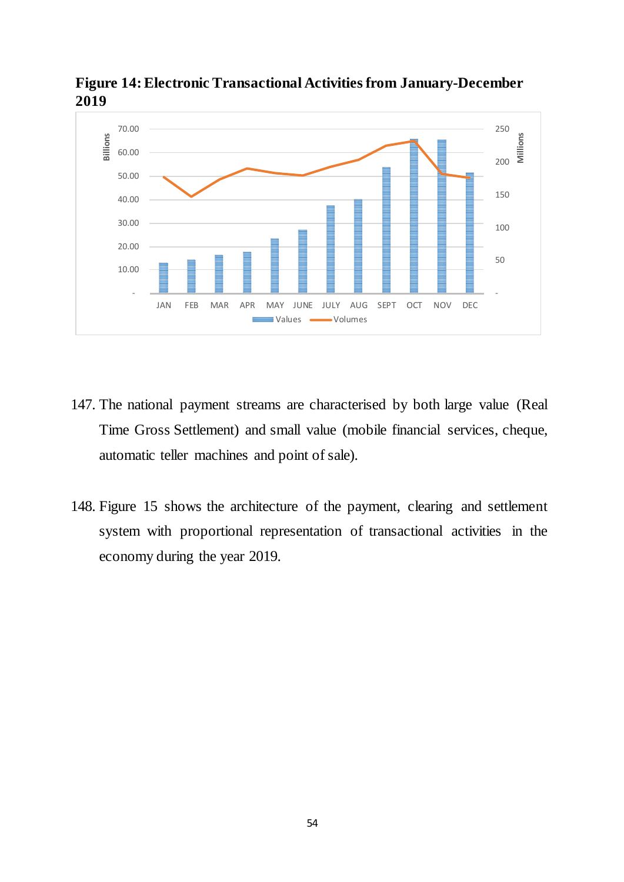

<span id="page-53-0"></span>**Figure 14: Electronic Transactional Activities from January-December 2019**

- 147. The national payment streams are characterised by both large value (Real Time Gross Settlement) and small value (mobile financial services, cheque, automatic teller machines and point of sale).
- 148. Figure 15 shows the architecture of the payment, clearing and settlement system with proportional representation of transactional activities in the economy during the year 2019.